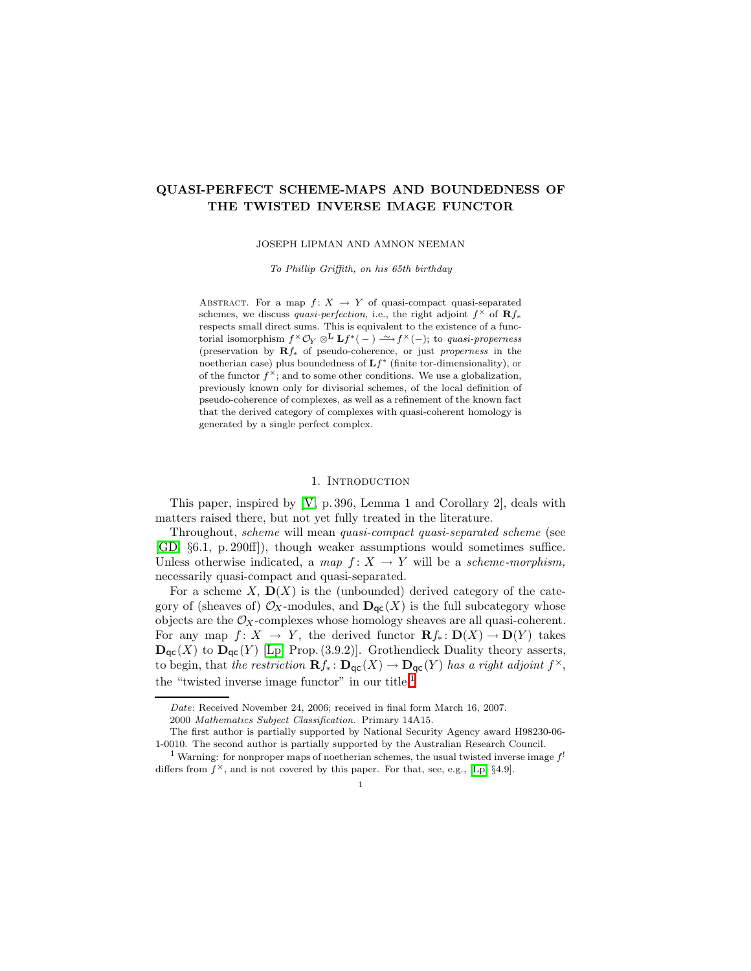# QUASI-PERFECT SCHEME-MAPS AND BOUNDEDNESS OF THE TWISTED INVERSE IMAGE FUNCTOR

JOSEPH LIPMAN AND AMNON NEEMAN

To Phillip Griffith, on his 65th birthday

ABSTRACT. For a map  $f: X \rightarrow Y$  of quasi-compact quasi-separated schemes, we discuss quasi-perfection, i.e., the right adjoint  $f^{\times}$  of  $\mathbf{R}f_{*}$ respects small direct sums. This is equivalent to the existence of a functorial isomorphism  $f^{\times}O_Y \otimes^{\mathbf{L}} \mathbf{L} f^{*}(-) \stackrel{\sim}{\longrightarrow} f^{\times}(-)$ ; to quasi-properness (preservation by Rf<sup>∗</sup> of pseudo-coherence, or just properness in the noetherian case) plus boundedness of  $Lf^*$  (finite tor-dimensionality), or of the functor  $f^{\times}$ ; and to some other conditions. We use a globalization, previously known only for divisorial schemes, of the local definition of pseudo-coherence of complexes, as well as a refinement of the known fact that the derived category of complexes with quasi-coherent homology is generated by a single perfect complex.

### 1. Introduction

This paper, inspired by [\[V,](#page-26-0) p. 396, Lemma 1 and Corollary 2], deals with matters raised there, but not yet fully treated in the literature.

Throughout, scheme will mean quasi-compact quasi-separated scheme (see [\[GD,](#page-26-1) §6.1, p. 290ff]), though weaker assumptions would sometimes suffice. Unless otherwise indicated, a map  $f: X \rightarrow Y$  will be a scheme-morphism, necessarily quasi-compact and quasi-separated.

For a scheme X,  $\mathbf{D}(X)$  is the (unbounded) derived category of the category of (sheaves of)  $\mathcal{O}_X$ -modules, and  $\mathbf{D}_{\mathsf{qc}}(X)$  is the full subcategory whose objects are the  $\mathcal{O}_X$ -complexes whose homology sheaves are all quasi-coherent. For any map  $f: X \to Y$ , the derived functor  $\mathbf{R} f_* : \mathbf{D}(X) \to \mathbf{D}(Y)$  takes  $\mathbf{D}_{\mathsf{qc}}(X)$  to  $\mathbf{D}_{\mathsf{qc}}(Y)$  [\[Lp,](#page-26-2) Prop. (3.9.2)]. Grothendieck Duality theory asserts, to begin, that the restriction  $\mathbf{R} f_* \colon \mathbf{D}_{\mathsf{qc}}(X) \to \mathbf{D}_{\mathsf{qc}}(Y)$  has a right adjoint  $f^{\times}$ , the "twisted inverse image functor" in our title.<sup>[1](#page-0-0)</sup>

Date: Received November 24, 2006; received in final form March 16, 2007.

<sup>2000</sup> Mathematics Subject Classification. Primary 14A15.

The first author is partially supported by National Security Agency award H98230-06- 1-0010. The second author is partially supported by the Australian Research Council.

<span id="page-0-0"></span><sup>&</sup>lt;sup>1</sup> Warning: for nonproper maps of noetherian schemes, the usual twisted inverse image  $f'$ differs from  $f^{\times}$ , and is not covered by this paper. For that, see, e.g., [\[Lp,](#page-26-2) §4.9].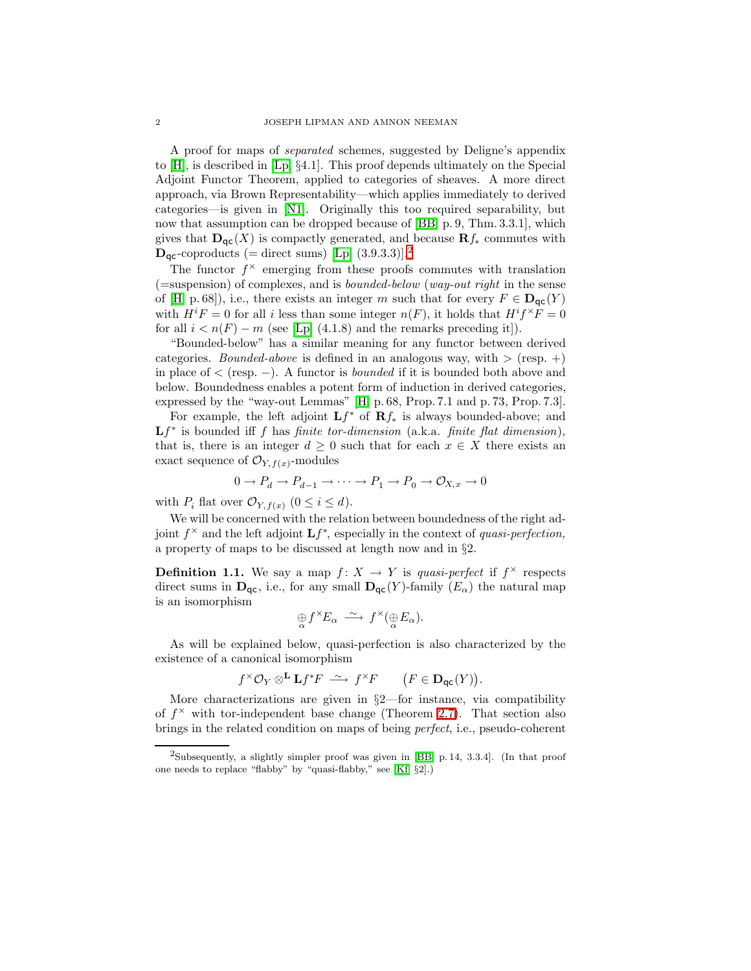A proof for maps of separated schemes, suggested by Deligne's appendix to [\[H\]](#page-26-3), is described in [\[Lp,](#page-26-2) §4.1]. This proof depends ultimately on the Special Adjoint Functor Theorem, applied to categories of sheaves. A more direct approach, via Brown Representability—which applies immediately to derived categories—is given in [\[N1\]](#page-26-4). Originally this too required separability, but now that assumption can be dropped because of [\[BB,](#page-26-5) p. 9, Thm. 3.3.1], which gives that  $\mathbf{D}_{\mathsf{qc}}(X)$  is compactly generated, and because  $\mathbf{R}f_*$  commutes with  $\mathbf{D}_{\mathsf{qc}}$ -coproducts (= direct sums) [\[Lp,](#page-26-2) (3.9.3.3)].<sup>[2](#page-1-0)</sup>

The functor  $f^{\times}$  emerging from these proofs commutes with translation  $($ =suspension) of complexes, and is *bounded-below* (*way-out right* in the sense of [\[H,](#page-26-3) p. 68]), i.e., there exists an integer m such that for every  $F \in \mathbf{D}_{\text{GC}}(Y)$ with  $H^i F = 0$  for all i less than some integer  $n(F)$ , it holds that  $H^i f^{\times} F = 0$ for all  $i < n(F) - m$  (see [\[Lp,](#page-26-2) (4.1.8) and the remarks preceding it]).

"Bounded-below" has a similar meaning for any functor between derived categories. *Bounded-above* is defined in an analogous way, with  $>$  (resp.  $+)$ ) in place of  $\lt$  (resp. –). A functor is *bounded* if it is bounded both above and below. Boundedness enables a potent form of induction in derived categories, expressed by the "way-out Lemmas" [\[H,](#page-26-3) p. 68, Prop. 7.1 and p. 73, Prop. 7.3].

For example, the left adjoint  $Lf^*$  of  $Rf_*$  is always bounded-above; and  $Lf^*$  is bounded iff f has finite tor-dimension (a.k.a. finite flat dimension), that is, there is an integer  $d \geq 0$  such that for each  $x \in X$  there exists an exact sequence of  $\mathcal{O}_{Y, f(x)}$ -modules

$$
0 \to P_d \to P_{d-1} \to \cdots \to P_1 \to P_0 \to \mathcal{O}_{X,x} \to 0
$$

with  $P_i$  flat over  $\mathcal{O}_{Y, f(x)}$   $(0 \leq i \leq d)$ .

We will be concerned with the relation between boundedness of the right adjoint  $f^{\times}$  and the left adjoint  $\mathbf{L} f^*$ , especially in the context of quasi-perfection, a property of maps to be discussed at length now and in §2.

<span id="page-1-1"></span>**Definition 1.1.** We say a map  $f: X \to Y$  is quasi-perfect if  $f^{\times}$  respects direct sums in  $\mathbf{D}_{\text{qc}}$ , i.e., for any small  $\mathbf{D}_{\text{qc}}(Y)$ -family  $(E_{\alpha})$  the natural map is an isomorphism

$$
\underset{\alpha}{\oplus} f^{\times}E_{\alpha} \stackrel{\sim}{\longrightarrow} f^{\times}(\underset{\alpha}{\oplus}E_{\alpha}).
$$

As will be explained below, quasi-perfection is also characterized by the existence of a canonical isomorphism

$$
f^{\times} \mathcal{O}_Y \otimes^{\mathbf{L}} \mathbf{L} f^* F \stackrel{\sim}{\longrightarrow} f^{\times} F \qquad (F \in \mathbf{D}_{\mathsf{qc}}(Y)).
$$

More characterizations are given in §2—for instance, via compatibility of  $f^{\times}$  with tor-independent base change (Theorem [2.7\)](#page-7-0). That section also brings in the related condition on maps of being perfect, i.e., pseudo-coherent

<span id="page-1-0"></span><sup>&</sup>lt;sup>2</sup>Subsequently, a slightly simpler proof was given in [\[BB,](#page-26-5) p. 14, 3.3.4]. (In that proof one needs to replace "flabby" by "quasi-flabby," see [\[Kf,](#page-26-6) §2].)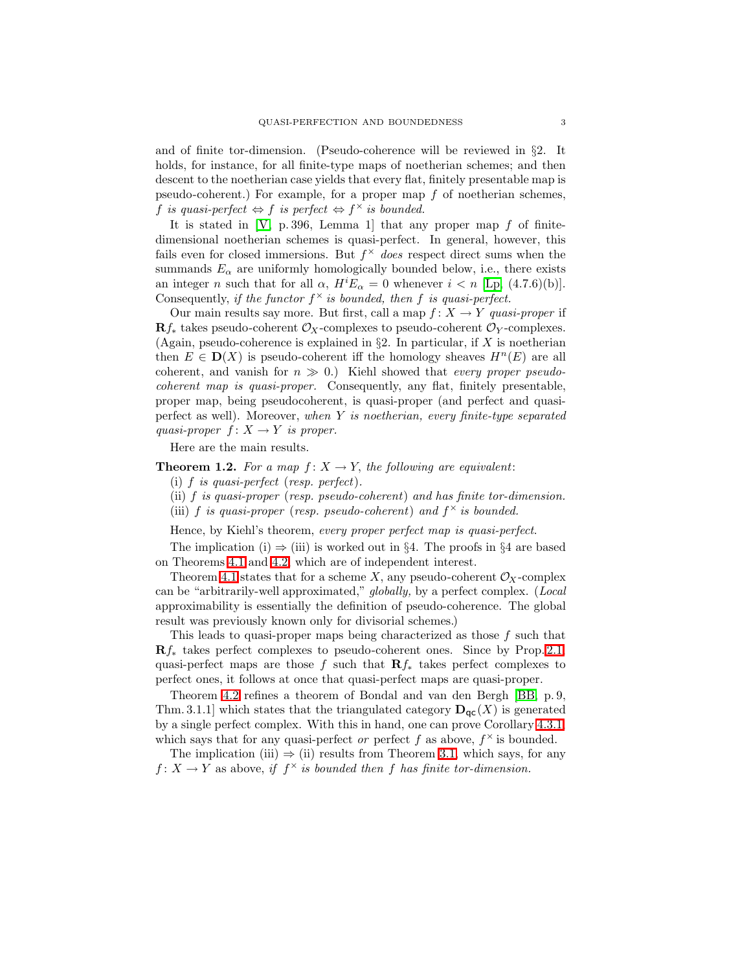and of finite tor-dimension. (Pseudo-coherence will be reviewed in §2. It holds, for instance, for all finite-type maps of noetherian schemes; and then descent to the noetherian case yields that every flat, finitely presentable map is pseudo-coherent.) For example, for a proper map  $f$  of noetherian schemes, f is quasi-perfect  $\Leftrightarrow f$  is perfect  $\Leftrightarrow f^{\times}$  is bounded.

It is stated in  $[V, p. 396, Lemma 1]$  that any proper map f of finitedimensional noetherian schemes is quasi-perfect. In general, however, this fails even for closed immersions. But  $f^{\times}$  does respect direct sums when the summands  $E_{\alpha}$  are uniformly homologically bounded below, i.e., there exists an integer n such that for all  $\alpha$ ,  $H^i E_\alpha = 0$  whenever  $i < n$  [\[Lp,](#page-26-2) (4.7.6)(b)]. Consequently, if the functor  $f^{\times}$  is bounded, then f is quasi-perfect.

Our main results say more. But first, call a map  $f: X \to Y$  quasi-proper if  $\mathbf{R}f_*$  takes pseudo-coherent  $\mathcal{O}_X$ -complexes to pseudo-coherent  $\mathcal{O}_Y$ -complexes. (Again, pseudo-coherence is explained in  $\S2$ . In particular, if X is noetherian then  $E \in D(X)$  is pseudo-coherent iff the homology sheaves  $H<sup>n</sup>(E)$  are all coherent, and vanish for  $n \gg 0$ .) Kiehl showed that *every proper pseudo*coherent map is quasi-proper. Consequently, any flat, finitely presentable, proper map, being pseudocoherent, is quasi-proper (and perfect and quasiperfect as well). Moreover, when  $Y$  is noetherian, every finite-type separated quasi-proper  $f: X \to Y$  is proper.

Here are the main results.

## <span id="page-2-0"></span>**Theorem 1.2.** For a map  $f: X \to Y$ , the following are equivalent:

- (i) f is quasi-perfect (resp. perfect).
- (ii) f is quasi-proper (resp. pseudo-coherent) and has finite tor-dimension.
- (iii) f is quasi-proper (resp. pseudo-coherent) and  $f^{\times}$  is bounded.

Hence, by Kiehl's theorem, every proper perfect map is quasi-perfect.

The implication (i)  $\Rightarrow$  (iii) is worked out in §4. The proofs in §4 are based on Theorems [4.1](#page-11-0) and [4.2,](#page-12-0) which are of independent interest.

Theorem [4.1](#page-11-0) states that for a scheme X, any pseudo-coherent  $\mathcal{O}_X$ -complex can be "arbitrarily-well approximated," globally, by a perfect complex. (Local approximability is essentially the definition of pseudo-coherence. The global result was previously known only for divisorial schemes.)

This leads to quasi-proper maps being characterized as those  $f$  such that  $\mathbf{R}f_*$  takes perfect complexes to pseudo-coherent ones. Since by Prop. [2.1,](#page-5-0) quasi-perfect maps are those f such that  $\mathbf{R}f_*$  takes perfect complexes to perfect ones, it follows at once that quasi-perfect maps are quasi-proper.

Theorem [4.2](#page-12-0) refines a theorem of Bondal and van den Bergh [\[BB,](#page-26-5) p. 9, Thm. 3.1.1] which states that the triangulated category  $\mathbf{D}_{\text{ac}}(X)$  is generated by a single perfect complex. With this in hand, one can prove Corollary [4.3.1,](#page-12-1) which says that for any quasi-perfect or perfect f as above,  $f^{\times}$  is bounded.

The implication (iii)  $\Rightarrow$  (ii) results from Theorem [3.1,](#page-9-0) which says, for any  $f: X \to Y$  as above, if  $f^{\times}$  is bounded then f has finite tor-dimension.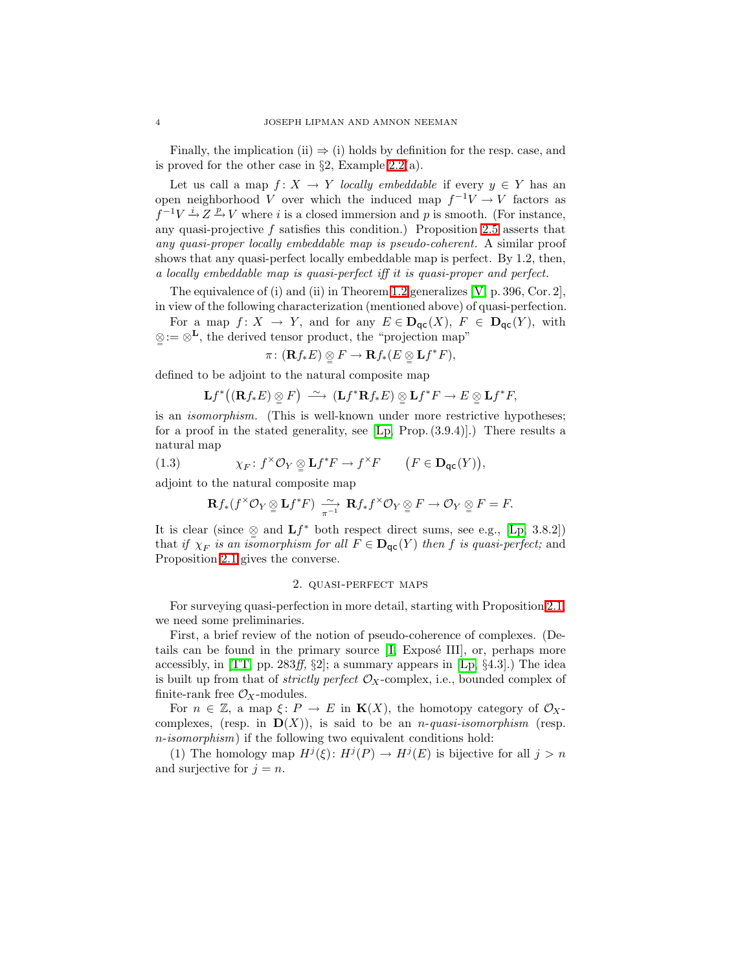Finally, the implication (ii)  $\Rightarrow$  (i) holds by definition for the resp. case, and is proved for the other case in  $\S2$ , Example [2.2\(](#page-5-1)a).

Let us call a map  $f: X \to Y$  locally embeddable if every  $y \in Y$  has an open neighborhood V over which the induced map  $f^{-1}V \to V$  factors as  $f^{-1}V \stackrel{i}{\rightarrow} Z \stackrel{p}{\rightarrow} V$  where i is a closed immersion and p is smooth. (For instance, any quasi-projective  $f$  satisfies this condition.) Proposition [2.5](#page-6-0) asserts that any quasi-proper locally embeddable map is pseudo-coherent. A similar proof shows that any quasi-perfect locally embeddable map is perfect. By 1.2, then, a locally embeddable map is quasi-perfect iff it is quasi-proper and perfect.

The equivalence of (i) and (ii) in Theorem [1.2](#page-2-0) generalizes  $[V, p. 396, Cor. 2]$ , in view of the following characterization (mentioned above) of quasi-perfection.

For a map  $f: X \to Y$ , and for any  $E \in \mathbf{D}_{\mathsf{qc}}(X)$ ,  $F \in \mathbf{D}_{\mathsf{qc}}(Y)$ , with ⊗= := ⊗L, the derived tensor product, the "projection map"

$$
\pi\colon (\mathbf{R} f_*E)\underset{\simeq}{\otimes} F\to \mathbf{R} f_*(E\underset{\simeq}{\otimes}\mathbf{L} f^*F),
$$

defined to be adjoint to the natural composite map

$$
\mathbf{L} f^{*} \big( (\mathbf{R} f_{*} E) \underset{\cong}{\otimes} F \big) \stackrel{\sim}{\longrightarrow} (\mathbf{L} f^{*} \mathbf{R} f_{*} E) \underset{\cong}{\otimes} \mathbf{L} f^{*} F \to E \underset{\cong}{\otimes} \mathbf{L} f^{*} F,
$$

is an isomorphism. (This is well-known under more restrictive hypotheses; for a proof in the stated generality, see  $[L_p, Prop. (3.9.4)].$  There results a natural map

<span id="page-3-0"></span>(1.3) 
$$
\chi_F \colon f^{\times} \mathcal{O}_Y \otimes \mathbf{L} f^* F \to f^{\times} F \qquad (F \in \mathbf{D}_{\mathsf{qc}}(Y)),
$$

adjoint to the natural composite map

$$
\mathbf{R} f_*(f^{\times} \mathcal{O}_Y \underset{\varphi}{\otimes} \mathbf{L} f^* F) \xrightarrow[\pi^{-1}]{} \mathbf{R} f_* f^{\times} \mathcal{O}_Y \underset{\varphi}{\otimes} F \to \mathcal{O}_Y \underset{\varphi}{\otimes} F = F.
$$

It is clear (since  $\mathcal{Q}$  and  $Lf^*$  both respect direct sums, see e.g., [\[Lp,](#page-26-2) 3.8.2]) that if  $\chi_F$  is an isomorphism for all  $F \in \mathbf{D}_{\mathsf{qc}}(Y)$  then f is quasi-perfect; and Proposition [2.1](#page-5-0) gives the converse.

### 2. quasi-perfect maps

For surveying quasi-perfection in more detail, starting with Proposition [2.1,](#page-5-0) we need some preliminaries.

First, a brief review of the notion of pseudo-coherence of complexes. (Details can be found in the primary source  $[I, E \times \text{X}]\text{ is a constant.}$ accessibly, in [\[TT,](#page-26-8) pp. 283ff,  $\S2$ ]; a summary appears in [\[Lp,](#page-26-2)  $\S4.3$ ].) The idea is built up from that of *strictly perfect*  $\mathcal{O}_X$ -complex, i.e., bounded complex of finite-rank free  $\mathcal{O}_X$ -modules.

For  $n \in \mathbb{Z}$ , a map  $\xi \colon P \to E$  in  $\mathbf{K}(X)$ , the homotopy category of  $\mathcal{O}_X$ complexes, (resp. in  $\mathbf{D}(X)$ ), is said to be an *n*-quasi-isomorphism (resp. n-isomorphism) if the following two equivalent conditions hold:

(1) The homology map  $H^j(\xi)$ :  $H^j(P) \to H^j(E)$  is bijective for all  $j > n$ and surjective for  $j = n$ .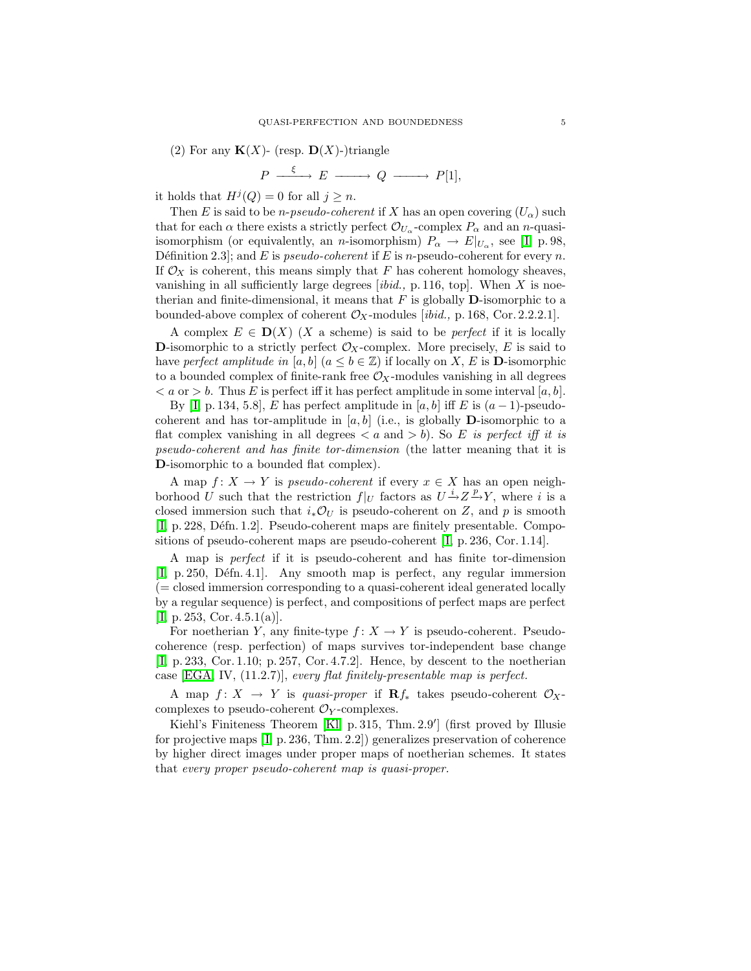(2) For any  $K(X)$ - (resp.  $D(X)$ -)triangle

$$
P \xrightarrow{\xi} E \xrightarrow{\qquad} Q \xrightarrow{\qquad} P[1],
$$

it holds that  $H^j(Q) = 0$  for all  $j \geq n$ .

Then E is said to be *n-pseudo-coherent* if X has an open covering  $(U_\alpha)$  such that for each  $\alpha$  there exists a strictly perfect  $\mathcal{O}_{U_{\alpha}}$ -complex  $P_{\alpha}$  and an *n*-quasiisomorphism (or equivalently, an *n*-isomorphism)  $P_{\alpha} \to E|_{U_{\alpha}}$ , see [I, p. 98, Définition 2.3]; and E is *pseudo-coherent* if E is *n*-pseudo-coherent for every *n*. If  $\mathcal{O}_X$  is coherent, this means simply that F has coherent homology sheaves, vanishing in all sufficiently large degrees  $[ibid, p. 116, top]$ . When X is noetherian and finite-dimensional, it means that  $F$  is globally  $\mathbf D$ -isomorphic to a bounded-above complex of coherent  $\mathcal{O}_X$ -modules [ibid., p. 168, Cor. 2.2.2.1].

A complex  $E \in D(X)$  (X a scheme) is said to be *perfect* if it is locally D-isomorphic to a strictly perfect  $\mathcal{O}_X$ -complex. More precisely, E is said to have perfect amplitude in [a, b]  $(a \leq b \in \mathbb{Z})$  if locally on X, E is **D**-isomorphic to a bounded complex of finite-rank free  $\mathcal{O}_X$ -modules vanishing in all degrees  $\langle a \text{ or } b \rangle$ . Thus E is perfect iff it has perfect amplitude in some interval [a, b].

By [I, p. 134, 5.8], E has perfect amplitude in [a, b] iff E is  $(a-1)$ -pseudocoherent and has tor-amplitude in  $[a, b]$  (i.e., is globally **D**-isomorphic to a flat complex vanishing in all degrees  $\langle a \text{ and } b \rangle$ . So E is perfect iff it is pseudo-coherent and has finite tor-dimension (the latter meaning that it is D-isomorphic to a bounded flat complex).

A map  $f: X \to Y$  is *pseudo-coherent* if every  $x \in X$  has an open neighborhood U such that the restriction  $f|_U$  factors as  $U \to Z \to Y$ , where i is a closed immersion such that  $i_*\mathcal{O}_U$  is pseudo-coherent on Z, and p is smooth [I, p. 228, Défn. 1.2]. Pseudo-coherent maps are finitely presentable. Compositions of pseudo-coherent maps are pseudo-coherent [I, p. 236, Cor. 1.14].

A map is perfect if it is pseudo-coherent and has finite tor-dimension [I, p. 250, Défn. 4.1]. Any smooth map is perfect, any regular immersion (= closed immersion corresponding to a quasi-coherent ideal generated locally by a regular sequence) is perfect, and compositions of perfect maps are perfect  $[I, p. 253, Cor. 4.5.1(a)].$ 

For noetherian Y, any finite-type  $f: X \to Y$  is pseudo-coherent. Pseudocoherence (resp. perfection) of maps survives tor-independent base change [\[ I,](#page-26-7) p. 233, Cor. 1.10; p. 257, Cor. 4.7.2]. Hence, by descent to the noetherian case  $[EGA, IV, (11.2.7)], every flat finitely-presentable map is perfect.$ 

A map  $f: X \to Y$  is quasi-proper if  $\mathbb{R} f_*$  takes pseudo-coherent  $\mathcal{O}_X$ complexes to pseudo-coherent  $\mathcal{O}_Y$ -complexes.

Kiehl's Finiteness Theorem [\[Kl,](#page-26-10) p. 315, Thm. 2.9 ′ ] (first proved by Illusie for projective maps  $[I, p. 236, Thm. 2.2]$  generalizes preservation of coherence by higher direct images under proper maps of noetherian schemes. It states that every proper pseudo-coherent map is quasi-proper.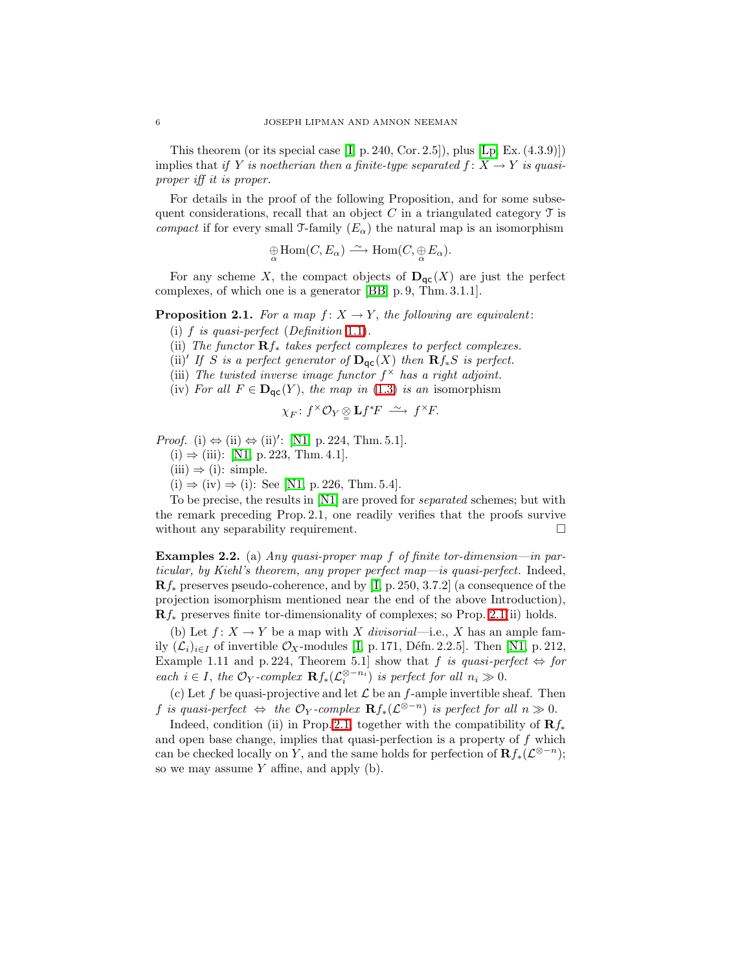This theorem (or its special case  $[I, p. 240, Cor. 2.5]$ ), plus  $[Lp, Ex. (4.3.9)]$  $[Lp, Ex. (4.3.9)]$ implies that if Y is noetherian then a finite-type separated  $f: X \to Y$  is quasiproper iff it is proper.

For details in the proof of the following Proposition, and for some subsequent considerations, recall that an object C in a triangulated category  $\mathcal T$  is compact if for every small  $\mathcal{T}$ -family  $(E_{\alpha})$  the natural map is an isomorphism

$$
\bigoplus_{\alpha} \text{Hom}(C, E_{\alpha}) \xrightarrow{\sim} \text{Hom}(C, \bigoplus_{\alpha} E_{\alpha}).
$$

<span id="page-5-0"></span>For any scheme X, the compact objects of  $\mathbf{D}_{\text{qc}}(X)$  are just the perfect complexes, of which one is a generator [\[BB,](#page-26-5) p. 9, Thm. 3.1.1].

## **Proposition 2.1.** For a map  $f: X \to Y$ , the following are equivalent:

- (i)  $f$  is quasi-perfect (Definition [1.1\)](#page-1-1).
- (ii) The functor  $\mathbf{R}f_*$  takes perfect complexes to perfect complexes.
- (ii)' If S is a perfect generator of  $\mathbf{D}_{\mathsf{qc}}(X)$  then  $\mathbf{R} f_*S$  is perfect.
- (iii) The twisted inverse image functor  $f^{\times}$  has a right adjoint.
- (iv) For all  $F \in \mathbf{D}_{\text{qc}}(Y)$ , the map in [\(1.3\)](#page-3-0) is an isomorphism

$$
\chi_F\colon f^\times \mathcal{O}_Y\underset{=}{\otimes} \mathbf{L} f^*F \ \xrightarrow{\sim} \ f^\times F.
$$

*Proof.* (i)  $\Leftrightarrow$  (ii)  $\Leftrightarrow$  (ii)': [\[N1,](#page-26-4) p. 224, Thm. 5.1].

- $(i)$  ⇒ (iii): [\[N1,](#page-26-4) p. 223, Thm. 4.1].
- $(iii) \Rightarrow (i):$  simple.
- $(i) \Rightarrow (iv) \Rightarrow (i)$ : See [\[N1,](#page-26-4) p. 226, Thm. 5.4].

To be precise, the results in [\[N1\]](#page-26-4) are proved for *separated* schemes; but with the remark preceding Prop. 2.1, one readily verifies that the proofs survive without any separability requirement.

<span id="page-5-1"></span>**Examples 2.2.** (a) Any quasi-proper map f of finite tor-dimension—in particular, by Kiehl's theorem, any proper perfect map—is quasi-perfect. Indeed,  $\mathbf{R}f_*$  preserves pseudo-coherence, and by [I, p. 250, 3.7.2] (a consequence of the projection isomorphism mentioned near the end of the above Introduction),  $\mathbf{R}f_*$  preserves finite tor-dimensionality of complexes; so Prop. [2.1\(](#page-5-0)ii) holds.

(b) Let  $f: X \to Y$  be a map with X divisorial—i.e., X has an ample family  $(\mathcal{L}_i)_{i\in I}$  of invertible  $\mathcal{O}_X$ -modules [I, p. 171, Défn. 2.2.5]. Then [\[N1,](#page-26-4) p. 212, Example 1.11 and p. 224, Theorem 5.1] show that f is quasi-perfect  $\Leftrightarrow$  for each  $i \in I$ , the  $\mathcal{O}_Y$ -complex  $\mathbf{R} f_*(\mathcal{L}_i^{\otimes -n_i})$  is perfect for all  $n_i \gg 0$ .

(c) Let f be quasi-projective and let  $\mathcal L$  be an f-ample invertible sheaf. Then f is quasi-perfect  $\Leftrightarrow$  the  $\mathcal{O}_Y$ -complex  $\mathbf{R}f_*(\mathcal{L}^{\otimes -n})$  is perfect for all  $n \gg 0$ .

Indeed, condition (ii) in Prop. [2.1,](#page-5-0) together with the compatibility of  $\mathbb{R} f_*$ and open base change, implies that quasi-perfection is a property of  $f$  which can be checked locally on Y, and the same holds for perfection of  $\mathbf{R} f_*(\mathcal{L}^{\otimes -n})$ ; so we may assume  $Y$  affine, and apply  $(b)$ .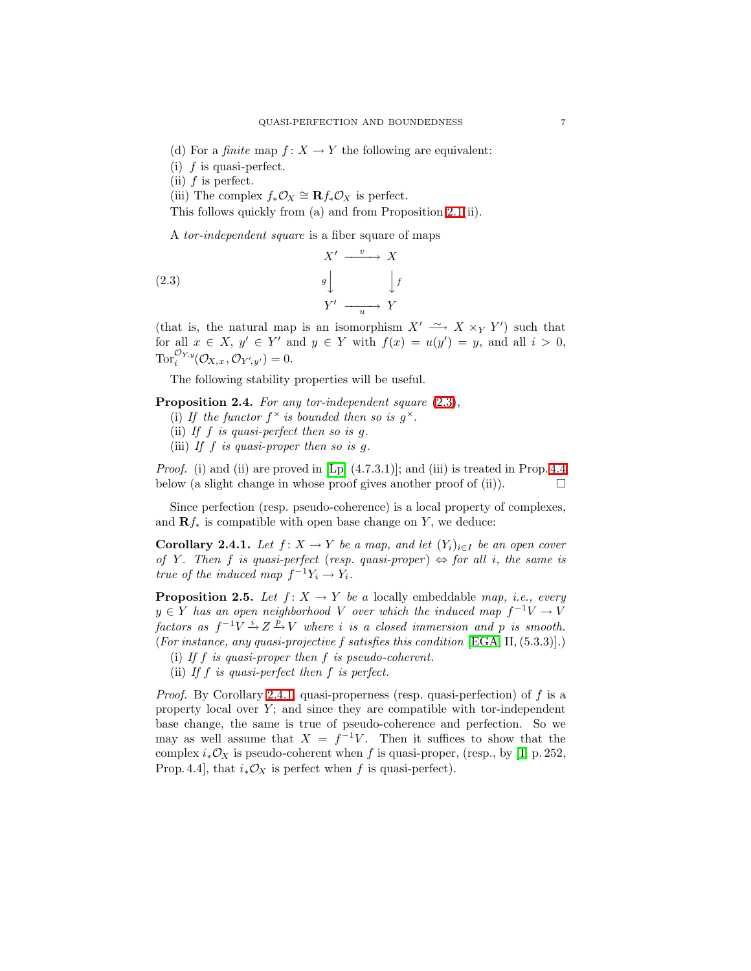- (d) For a *finite* map  $f: X \to Y$  the following are equivalent:
- (i)  $f$  is quasi-perfect.

(ii)  $f$  is perfect.

(iii) The complex  $f_*\mathcal{O}_X \cong \mathbf{R} f_*\mathcal{O}_X$  is perfect.

This follows quickly from (a) and from Proposition [2.1\(](#page-5-0)ii).

<span id="page-6-1"></span>A tor-independent square is a fiber square of maps

(2.3) 
$$
X' \xrightarrow{v} X
$$

$$
g \downarrow \qquad \qquad \downarrow f
$$

$$
Y' \xrightarrow{u} Y
$$

(that is, the natural map is an isomorphism  $X' \longrightarrow X \times_Y Y'$ ) such that for all  $x \in X$ ,  $y' \in Y'$  and  $y \in Y$  with  $f(x) = u(y') = y$ , and all  $i > 0$ ,  $\operatorname{Tor}^{\mathcal{O}_{Y,y}}_i(\mathcal{O}_{X,x},\mathcal{O}_{Y',y'})=0.$ 

The following stability properties will be useful.

- <span id="page-6-3"></span>Proposition 2.4. For any tor-independent square  $(2.3)$ ,
	- (i) If the functor  $f^{\times}$  is bounded then so is  $g^{\times}$ .
	- (ii) If  $f$  is quasi-perfect then so is  $g$ .
	- (iii) If f is quasi-proper then so is  $q$ .

*Proof.* (i) and (ii) are proved in  $[Lp, (4.7.3.1)]$ ; and (iii) is treated in Prop. [4.4](#page-13-0) below (a slight change in whose proof gives another proof of (ii)).  $\Box$ 

<span id="page-6-2"></span>Since perfection (resp. pseudo-coherence) is a local property of complexes, and  $\mathbf{R}f_*$  is compatible with open base change on Y, we deduce:

Corollary 2.4.1. Let  $f: X \to Y$  be a map, and let  $(Y_i)_{i \in I}$  be an open cover of Y. Then f is quasi-perfect (resp. quasi-proper)  $\Leftrightarrow$  for all i, the same is true of the induced map  $f^{-1}Y_i \to Y_i$ .

<span id="page-6-0"></span>**Proposition 2.5.** Let  $f: X \to Y$  be a locally embeddable map, i.e., every  $y \in Y$  has an open neighborhood V over which the induced map  $f^{-1}V \to V$ factors as  $f^{-1}V \stackrel{i}{\rightarrow} Z \stackrel{p}{\rightarrow} V$  where i is a closed immersion and p is smooth. (For instance, any quasi-projective f satisfies this condition [\[EGA,](#page-26-9) II, (5.3.3)].)

- (i) If f is quasi-proper then f is pseudo-coherent.
- (ii) If  $f$  is quasi-perfect then  $f$  is perfect.

*Proof.* By Corollary [2.4.1,](#page-6-2) quasi-properness (resp. quasi-perfection) of  $f$  is a property local over  $Y$ ; and since they are compatible with tor-independent base change, the same is true of pseudo-coherence and perfection. So we may as well assume that  $X = f^{-1}V$ . Then it suffices to show that the complex  $i_*\mathcal{O}_X$  is pseudo-coherent when f is quasi-proper, (resp., by [I, p. 252, Prop. 4.4], that  $i_*\mathcal{O}_X$  is perfect when f is quasi-perfect).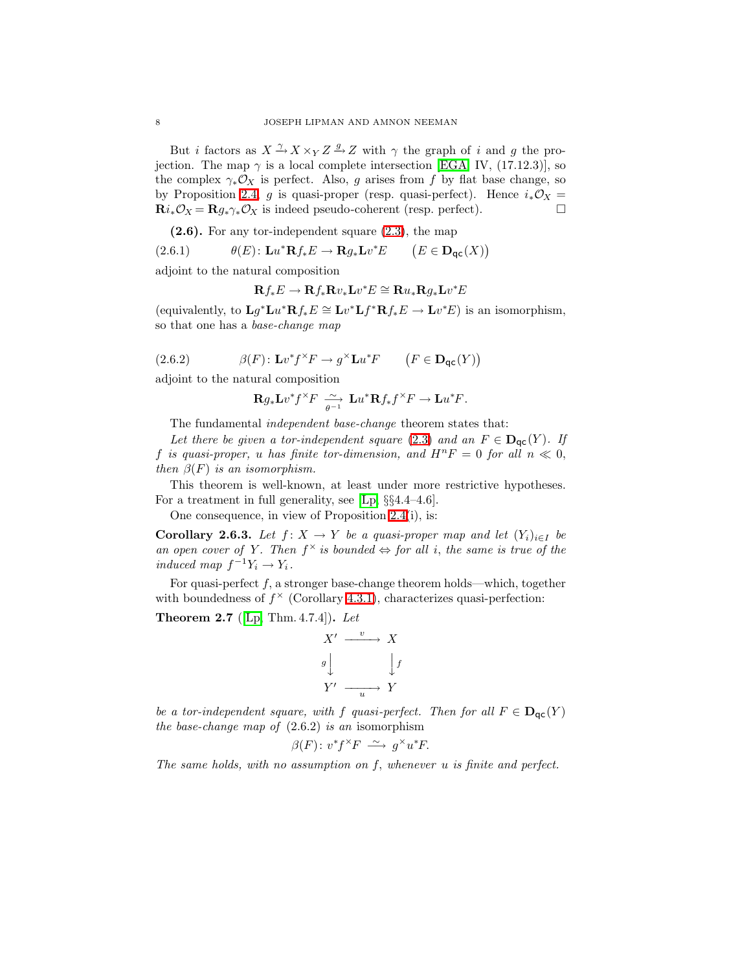But *i* factors as  $X \xrightarrow{\gamma} X \times_Y Z \xrightarrow{g} Z$  with  $\gamma$  the graph of *i* and *g* the projection. The map  $\gamma$  is a local complete intersection [\[EGA,](#page-26-9) IV, (17.12.3)], so the complex  $\gamma_* \mathcal{O}_X$  is perfect. Also, g arises from f by flat base change, so by Proposition [2.4,](#page-6-3) g is quasi-proper (resp. quasi-perfect). Hence  $i_*\mathcal{O}_X$  =  $\mathbf{R}i_*\mathcal{O}_X = \mathbf{R}g_*\gamma_*\mathcal{O}_X$  is indeed pseudo-coherent (resp. perfect).

 $(2.6)$ . For any tor-independent square  $(2.3)$ , the map

(2.6.1) 
$$
\theta(E): \mathbf{L}u^*\mathbf{R}f_*E \to \mathbf{R}g_*\mathbf{L}v^*E \qquad \big(E \in \mathbf{D}_{\mathsf{qc}}(X)\big)
$$

adjoint to the natural composition

$$
\mathbf{R} f_* E \to \mathbf{R} f_* \mathbf{R} v_* \mathbf{L} v^* E \cong \mathbf{R} u_* \mathbf{R} g_* \mathbf{L} v^* E
$$

(equivalently, to  $\mathbf{L}g^*\mathbf{L}u^*\mathbf{R}f_*E \cong \mathbf{L}v^*\mathbf{L}f^*\mathbf{R}f_*E \to \mathbf{L}v^*E$ ) is an isomorphism, so that one has a base-change map

(2.6.2) 
$$
\beta(F) \colon \mathbf{L} v^* f^\times F \to g^\times \mathbf{L} u^* F \qquad \left(F \in \mathbf{D}_{\mathsf{qc}}(Y)\right)
$$

adjoint to the natural composition

$$
\mathbf{R} g_* \mathbf{L} v^* f^\times F \xrightarrow[\theta-1]{\sim} \mathbf{L} u^* \mathbf{R} f_* f^\times F \to \mathbf{L} u^* F.
$$

The fundamental independent base-change theorem states that:

Let there be given a tor-independent square [\(2.3\)](#page-6-1) and an  $F \in \mathbf{D}_{\text{qc}}(Y)$ . If f is quasi-proper, u has finite tor-dimension, and  $H^nF = 0$  for all  $n \ll 0$ , then  $\beta(F)$  is an isomorphism.

This theorem is well-known, at least under more restrictive hypotheses. For a treatment in full generality, see [\[Lp,](#page-26-2) §§4.4–4.6].

One consequence, in view of Proposition [2.4\(](#page-6-3)i), is:

**Corollary 2.6.3.** Let  $f: X \to Y$  be a quasi-proper map and let  $(Y_i)_{i \in I}$  be an open cover of Y. Then  $f^{\times}$  is bounded  $\Leftrightarrow$  for all i, the same is true of the induced map  $f^{-1}Y_i \to Y_i$ .

For quasi-perfect  $f$ , a stronger base-change theorem holds—which, together with boundedness of  $f^{\times}$  (Corollary [4.3.1\)](#page-12-1), characterizes quasi-perfection:

<span id="page-7-0"></span>**Theorem 2.7** ([\[Lp,](#page-26-2) Thm. 4.7.4]). Let

$$
X' \xrightarrow{v} X
$$
  

$$
g \downarrow \qquad \qquad \downarrow f
$$
  

$$
Y' \xrightarrow{u} Y
$$

be a tor-independent square, with f quasi-perfect. Then for all  $F \in D_{\text{qc}}(Y)$ the base-change map of  $(2.6.2)$  is an isomorphism

$$
\beta(F) \colon v^* f^\times F \; \xrightarrow{\sim} \; g^\times u^* F.
$$

The same holds, with no assumption on  $f$ , whenever  $u$  is finite and perfect.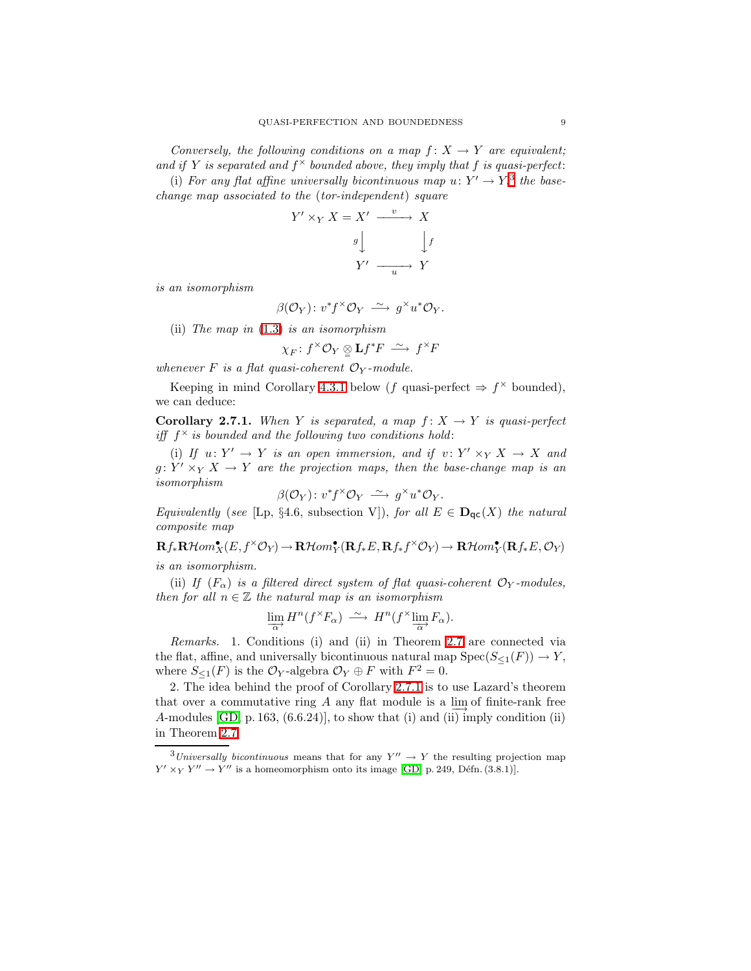Conversely, the following conditions on a map  $f: X \to Y$  are equivalent; and if Y is separated and  $f^{\times}$  bounded above, they imply that f is quasi-perfect: (i) For any flat affine universally bicontinuous map  $u: Y' \to Y$ ,<sup>[3](#page-8-0)</sup> the base-

change map associated to the (tor-independent) square

$$
Y' \times_Y X = X' \xrightarrow{v} X
$$

$$
g \downarrow \qquad \qquad \downarrow f
$$

$$
Y' \xrightarrow{u} Y
$$

is an isomorphism

$$
\beta(\mathcal{O}_Y) \colon v^* f^\times \mathcal{O}_Y \longrightarrow g^\times u^* \mathcal{O}_Y.
$$

(ii) The map in [\(1.3\)](#page-3-0) is an isomorphism

$$
\chi_F\colon f^\times\mathcal{O}_Y\underset{=}{\otimes}\mathbf{L}f^*F\stackrel{\sim}{\longrightarrow}f^\times F
$$

whenever F is a flat quasi-coherent  $\mathcal{O}_Y$ -module.

<span id="page-8-1"></span>Keeping in mind Corollary [4.3.1](#page-12-1) below (f quasi-perfect  $\Rightarrow f^{\times}$  bounded), we can deduce:

**Corollary 2.7.1.** When Y is separated, a map  $f: X \rightarrow Y$  is quasi-perfect iff  $f^{\times}$  is bounded and the following two conditions hold:

(i) If  $u: Y' \to Y$  is an open immersion, and if  $v: Y' \times_Y X \to X$  and  $g: Y' \times_Y X \to Y$  are the projection maps, then the base-change map is an isomorphism

$$
\beta(\mathcal{O}_Y) \colon v^* f^\times \mathcal{O}_Y \; \xrightarrow{\sim} \; g^\times u^* \mathcal{O}_Y.
$$

Equivalently (see [Lp, §4.6, subsection V]), for all  $E \in \mathbf{D}_{\text{qc}}(X)$  the natural composite map

 ${\mathbf R} f_*\mathbf{R}{\mathcal H}om^\bullet_X(E,f^\times{\mathcal O}_Y)\to{\mathbf R}{\mathcal H}om^\bullet_Y({\mathbf R} f_*E,{\mathbf R} f_*f^\times{\mathcal O}_Y)\to{\mathbf R}{\mathcal H}om^\bullet_Y({\mathbf R} f_*E,{\mathcal O}_Y)$ is an isomorphism.

(ii) If  $(F_{\alpha})$  is a filtered direct system of flat quasi-coherent  $\mathcal{O}_Y$ -modules, then for all  $n \in \mathbb{Z}$  the natural map is an isomorphism

$$
\lim_{\alpha} H^n(f^{\times} F_{\alpha}) \stackrel{\sim}{\longrightarrow} H^n(f^{\times} \lim_{\alpha} F_{\alpha}).
$$

Remarks. 1. Conditions (i) and (ii) in Theorem [2.7](#page-7-0) are connected via the flat, affine, and universally bicontinuous natural map  $Spec(S_{\leq 1}(F)) \to Y$ , where  $S_{\leq 1}(F)$  is the  $\mathcal{O}_Y$ -algebra  $\mathcal{O}_Y \oplus F$  with  $F^2 = 0$ .

2. The idea behind the proof of Corollary [2.7.1](#page-8-1) is to use Lazard's theorem that over a commutative ring A any flat module is a  $\lim_{\epsilon \to 0}$  of finite-rank free A-modules [\[GD,](#page-26-1) p. 163, (6.6.24)], to show that (i) and (ii) imply condition (ii) in Theorem [2.7.](#page-7-0)

<span id="page-8-0"></span><sup>&</sup>lt;sup>3</sup>Universally bicontinuous means that for any  $Y'' \to Y$  the resulting projection map  $Y' \times_Y Y'' \to Y''$  is a homeomorphism onto its image [\[GD,](#page-26-1) p. 249, Défn. (3.8.1)].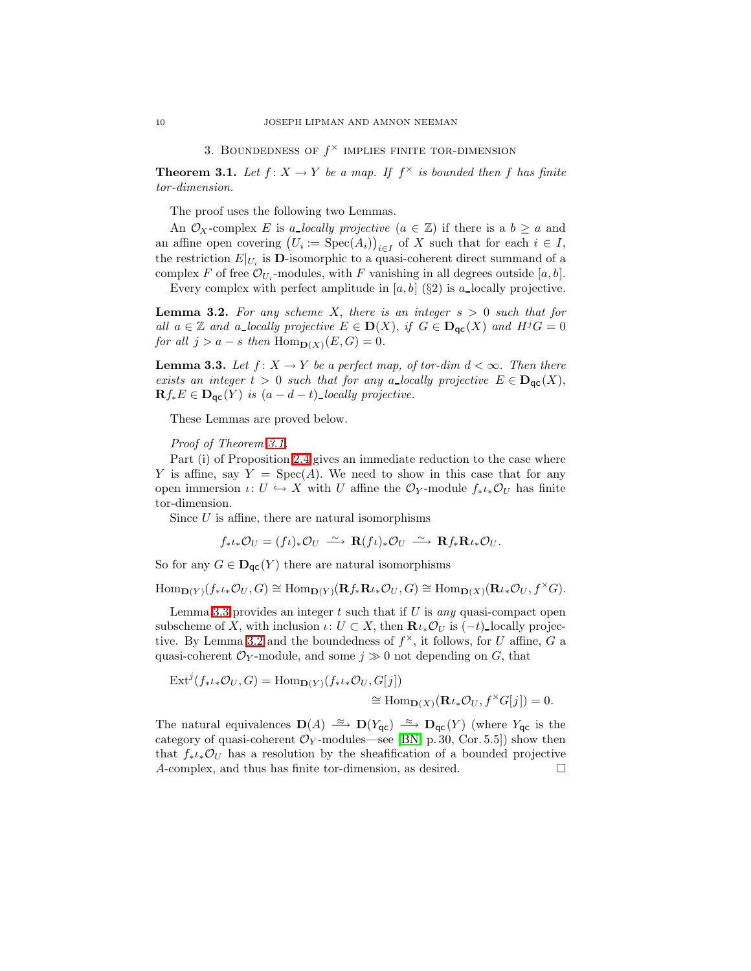3. BOUNDEDNESS OF  $f^{\times}$  IMPLIES FINITE TOR-DIMENSION

<span id="page-9-0"></span>**Theorem 3.1.** Let  $f: X \to Y$  be a map. If  $f^{\times}$  is bounded then f has finite tor-dimension.

The proof uses the following two Lemmas.

An  $\mathcal{O}_X$ -complex E is a locally projective  $(a \in \mathbb{Z})$  if there is a  $b \geq a$  and an affine open covering  $(U_i := \text{Spec}(A_i))_{i \in I}$  of X such that for each  $i \in I$ , the restriction  $E|_{U_i}$  is **D**-isomorphic to a quasi-coherent direct summand of a complex F of free  $\mathcal{O}_{U_i}$ -modules, with F vanishing in all degrees outside [a, b].

Every complex with perfect amplitude in  $[a, b]$  (§2) is a locally projective.

<span id="page-9-2"></span>**Lemma 3.2.** For any scheme X, there is an integer  $s > 0$  such that for all  $a \in \mathbb{Z}$  and a locally projective  $E \in \mathbf{D}(X)$ , if  $G \in \mathbf{D}_{\mathsf{qc}}(X)$  and  $H^jG = 0$ for all  $j > a - s$  then  $\text{Hom}_{\mathbf{D}(X)}(E, G) = 0$ .

<span id="page-9-1"></span>**Lemma 3.3.** Let  $f: X \to Y$  be a perfect map, of tor-dim  $d < \infty$ . Then there exists an integer  $t > 0$  such that for any a-locally projective  $E \in D_{\text{qc}}(X)$ ,  $\mathbf{R} f_* E \in \mathbf{D}_{\mathsf{qc}}(Y)$  is  $(a-d-t)$  locally projective.

These Lemmas are proved below.

Proof of Theorem [3.1.](#page-9-0)

Part (i) of Proposition [2.4](#page-6-3) gives an immediate reduction to the case where Y is affine, say  $Y = \text{Spec}(A)$ . We need to show in this case that for any open immersion  $\iota: U \hookrightarrow X$  with U affine the  $\mathcal{O}_Y$ -module  $f_*\iota_*\mathcal{O}_U$  has finite tor-dimension.

Since  $U$  is affine, there are natural isomorphisms

$$
f_*\iota_*\mathcal{O}_U = (f\iota)_*\mathcal{O}_U \stackrel{\sim}{\longrightarrow} \mathbf{R}(f\iota)_*\mathcal{O}_U \stackrel{\sim}{\longrightarrow} \mathbf{R}f_*\mathbf{R}\iota_*\mathcal{O}_U.
$$

So for any  $G \in \mathbf{D}_{\mathsf{qc}}(Y)$  there are natural isomorphisms

 $\text{Hom}_{\mathbf{D}(Y)}(f_*\iota_*\mathcal{O}_U, G) \cong \text{Hom}_{\mathbf{D}(Y)}(\mathbf{R}f_*\mathbf{R}\iota_*\mathcal{O}_U, G) \cong \text{Hom}_{\mathbf{D}(X)}(\mathbf{R}\iota_*\mathcal{O}_U, f^{\times}G).$ 

Lemma [3.3](#page-9-1) provides an integer  $t$  such that if  $U$  is any quasi-compact open subscheme of X, with inclusion  $\iota: U \subset X$ , then  $\mathbf{R} \iota_* \mathcal{O}_U$  is  $(-t)$  locally projec-tive. By Lemma [3.2](#page-9-2) and the boundedness of  $f^{\times}$ , it follows, for U affine, G a quasi-coherent  $\mathcal{O}_Y$ -module, and some  $j \gg 0$  not depending on G, that

$$
\operatorname{Ext}^j(f_*\iota_*\mathcal{O}_U,G) = \operatorname{Hom}_{\mathbf{D}(Y)}(f_*\iota_*\mathcal{O}_U,G[j])
$$
  
\n
$$
\cong \operatorname{Hom}_{\mathbf{D}(X)}(\mathbf{R}\iota_*\mathcal{O}_U,f^{\times}G[j]) = 0.
$$

The natural equivalences  $\mathbf{D}(A) \stackrel{\approx}{\longrightarrow} \mathbf{D}(Y_{\mathsf{qc}}) \stackrel{\approx}{\longrightarrow} \mathbf{D}_{\mathsf{qc}}(Y)$  (where  $Y_{\mathsf{qc}}$  is the category of quasi-coherent  $\mathcal{O}_Y$ -modules—see [\[BN,](#page-26-11) p. 30, Cor. 5.5]) show then that  $f_* \iota_* \mathcal{O}_U$  has a resolution by the sheafification of a bounded projective A-complex, and thus has finite tor-dimension, as desired.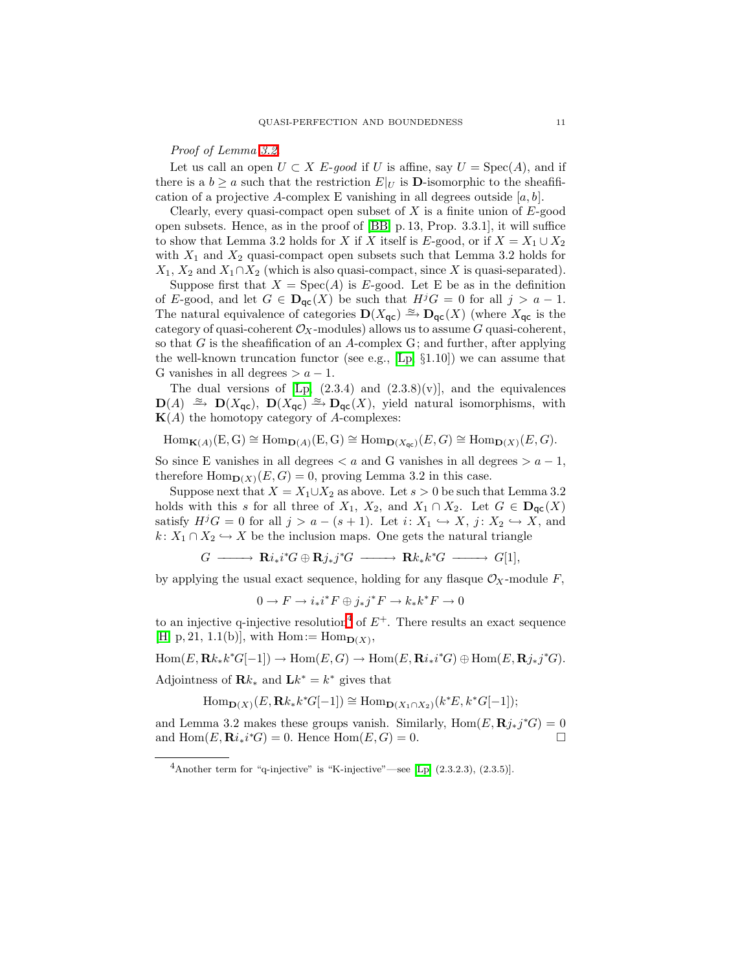#### Proof of Lemma [3.2.](#page-9-2)

Let us call an open  $U \subset X$  E-good if U is affine, say  $U = \text{Spec}(A)$ , and if there is a  $b \ge a$  such that the restriction  $E|_U$  is **D**-isomorphic to the sheafification of a projective A-complex E vanishing in all degrees outside  $[a, b]$ .

Clearly, every quasi-compact open subset of  $X$  is a finite union of  $E$ -good open subsets. Hence, as in the proof of [\[BB,](#page-26-5) p. 13, Prop. 3.3.1], it will suffice to show that Lemma 3.2 holds for X if X itself is E-good, or if  $X = X_1 \cup X_2$ with  $X_1$  and  $X_2$  quasi-compact open subsets such that Lemma 3.2 holds for  $X_1, X_2$  and  $X_1 \cap X_2$  (which is also quasi-compact, since X is quasi-separated).

Suppose first that  $X = \text{Spec}(A)$  is E-good. Let E be as in the definition of E-good, and let  $G \in \mathbf{D}_{\text{qc}}(X)$  be such that  $H^jG = 0$  for all  $j > a - 1$ . The natural equivalence of categories  $\mathbf{D}(X_{\mathsf{qc}}) \xrightarrow{\approx} \mathbf{D}_{\mathsf{qc}}(X)$  (where  $X_{\mathsf{qc}}$  is the category of quasi-coherent  $\mathcal{O}_X$ -modules) allows us to assume G quasi-coherent, so that  $G$  is the sheafification of an  $A$ -complex  $G$ ; and further, after applying the well-known truncation functor (see e.g., [\[Lp,](#page-26-2)  $\S1.10$ ]) we can assume that G vanishes in all degrees  $>a-1$ .

The dual versions of  $[Lp, (2.3.4) \text{ and } (2.3.8)(v)],$  and the equivalences  $\mathbf{D}(A) \cong \mathbf{D}(X_{\mathsf{qc}}), \ \mathbf{D}(X_{\mathsf{qc}}) \cong \mathbf{D}_{\mathsf{qc}}(X),$  yield natural isomorphisms, with  $K(A)$  the homotopy category of A-complexes:

 $\text{Hom}_{\mathbf{K}(A)}(E, G) \cong \text{Hom}_{\mathbf{D}(A)}(E, G) \cong \text{Hom}_{\mathbf{D}(X_{\text{nc}})}(E, G) \cong \text{Hom}_{\mathbf{D}(X)}(E, G).$ 

So since E vanishes in all degrees  $\lt a$  and G vanishes in all degrees  $\gt a - 1$ , therefore  $\text{Hom}_{\mathbf{D}(X)}(E, G) = 0$ , proving Lemma 3.2 in this case.

Suppose next that  $X = X_1 \cup X_2$  as above. Let  $s > 0$  be such that Lemma 3.2 holds with this s for all three of  $X_1, X_2$ , and  $X_1 \cap X_2$ . Let  $G \in \mathbf{D}_{\text{qc}}(X)$ satisfy  $H^jG = 0$  for all  $j > a - (s + 1)$ . Let  $i: X_1 \hookrightarrow X$ ,  $j: X_2 \hookrightarrow X$ , and  $k: X_1 \cap X_2 \hookrightarrow X$  be the inclusion maps. One gets the natural triangle

$$
G \longrightarrow \mathbf{R}i_*i^*G \oplus \mathbf{R}j_*j^*G \longrightarrow \mathbf{R}k_*k^*G \longrightarrow G[1],
$$

by applying the usual exact sequence, holding for any flasque  $\mathcal{O}_X$ -module F,

$$
0\to F\to i_*i^*F\oplus j_*j^*F\to k_*k^*F\to 0
$$

to an injective q-injective resolution<sup>[4](#page-10-0)</sup> of  $E^+$ . There results an exact sequence  $[H, p, 21, 1.1(b)],$  $[H, p, 21, 1.1(b)],$  with  $Hom := Hom_{D(X)},$ 

 $Hom(E, \mathbf{R}k_*k^*G[-1]) \to Hom(E, G) \to Hom(E, \mathbf{R}i_*i^*G) \oplus Hom(E, \mathbf{R}j_*j^*G).$ 

Adjointness of  $\mathbf{R}k_*$  and  $\mathbf{L}k^* = k^*$  gives that

$$
\operatorname{Hom}\nolimits_{{\mathbf D}(X)}(E,\mathbf{R} k_*k^*G[-1])\cong \operatorname{Hom}\nolimits_{{\mathbf D}(X_1\cap X_2)}(k^*E,k^*G[-1]);
$$

<span id="page-10-0"></span>and Lemma 3.2 makes these groups vanish. Similarly,  $\text{Hom}(E, \mathbf{R} j_*j^*G) = 0$ and  $\text{Hom}(E, \mathbf{R}i_*i^*G) = 0$ . Hence  $\text{Hom}(E, G) = 0$ .

 $4A$ nother term for "q-injective" is "K-injective"—see [\[Lp,](#page-26-2)  $(2.3.2.3)$ ,  $(2.3.5)$ ].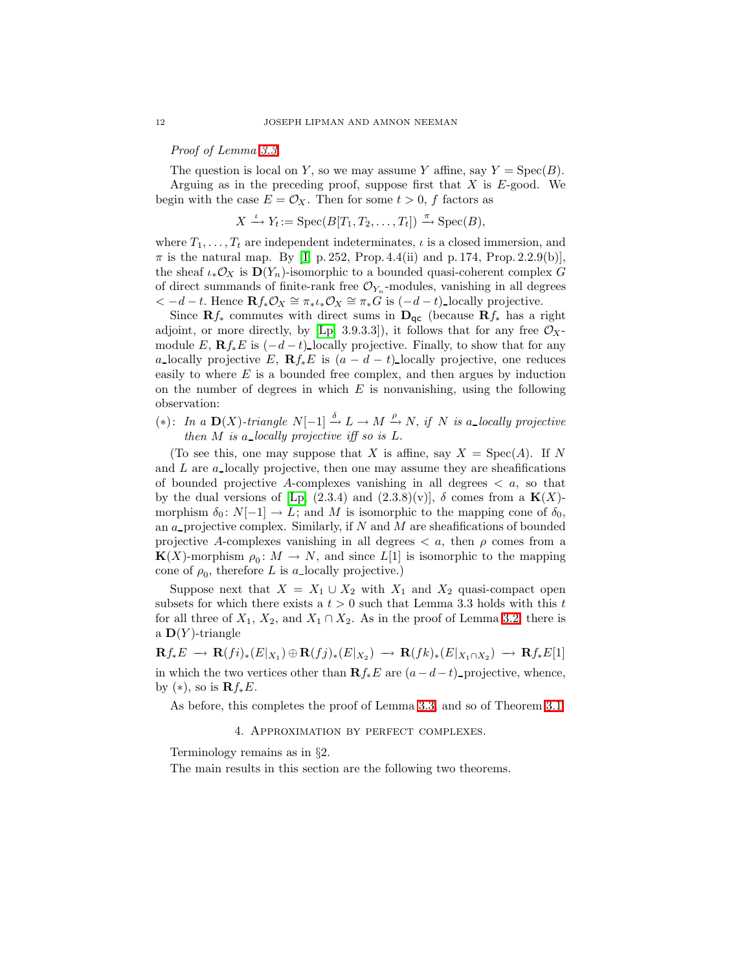Proof of Lemma [3.3.](#page-9-1)

The question is local on Y, so we may assume Y affine, say  $Y = \text{Spec}(B)$ . Arguing as in the preceding proof, suppose first that  $X$  is  $E$ -good. We begin with the case  $E = \mathcal{O}_X$ . Then for some  $t > 0$ , f factors as

$$
X \xrightarrow{\iota} Y_t := \operatorname{Spec}(B[T_1, T_2, \dots, T_t]) \xrightarrow{\pi} \operatorname{Spec}(B),
$$

where  $T_1, \ldots, T_t$  are independent indeterminates,  $\iota$  is a closed immersion, and  $\pi$  is the natural map. By [I, p. 252, Prop. 4.4(ii) and p. 174, Prop. 2.2.9(b)], the sheaf  $\iota_*\mathcal{O}_X$  is  $\mathbf{D}(Y_n)$ -isomorphic to a bounded quasi-coherent complex G of direct summands of finite-rank free  $\mathcal{O}_{Y_n}$ -modules, vanishing in all degrees  $<-d-t$ . Hence  $\mathbf{R} f_* \mathcal{O}_X \cong \pi_* \iota_* \mathcal{O}_X \cong \pi_* G$  is  $(-d-t)$ -locally projective.

Since  $\mathbf{R}f_*$  commutes with direct sums in  $\mathbf{D}_{\mathsf{qc}}$  (because  $\mathbf{R}f_*$  has a right adjoint, or more directly, by [\[Lp,](#page-26-2) 3.9.3.3]), it follows that for any free  $\mathcal{O}_X$ module E,  $\mathbf{R}f_*E$  is  $(-d-t)$ -locally projective. Finally, to show that for any a locally projective E,  $\mathbf{R} f_* E$  is  $(a - d - t)$  locally projective, one reduces easily to where E is a bounded free complex, and then argues by induction on the number of degrees in which  $E$  is nonvanishing, using the following observation:

(\*): In a D(X)-triangle  $N[-1]$   $\stackrel{\delta}{\rightarrow}$  L → M  $\stackrel{\rho}{\rightarrow}$  N, if N is a\_locally projective then  $M$  is a locally projective iff so is  $L$ .

(To see this, one may suppose that X is affine, say  $X = \text{Spec}(A)$ . If N and  $L$  are a locally projective, then one may assume they are sheafifications of bounded projective A-complexes vanishing in all degrees  $\langle a, s \rangle$  that by the dual versions of [\[Lp,](#page-26-2) (2.3.4) and (2.3.8)(v)],  $\delta$  comes from a **K**(X)morphism  $\delta_0 \colon N[-1] \to L$ ; and M is isomorphic to the mapping cone of  $\delta_0$ , an  $a$ -projective complex. Similarly, if  $N$  and  $M$  are sheafifications of bounded projective A-complexes vanishing in all degrees  $\langle a, \rangle$  then  $\rho$  comes from a  $\mathbf{K}(X)$ -morphism  $\rho_0: M \to N$ , and since  $L[1]$  is isomorphic to the mapping cone of  $\rho_0$ , therefore L is a locally projective.)

Suppose next that  $X = X_1 \cup X_2$  with  $X_1$  and  $X_2$  quasi-compact open subsets for which there exists a  $t > 0$  such that Lemma 3.3 holds with this t for all three of  $X_1, X_2$ , and  $X_1 \cap X_2$ . As in the proof of Lemma [3.2,](#page-9-2) there is a  $\mathbf{D}(Y)$ -triangle

 $\mathbf{R} f_* E \, \longrightarrow \, \mathbf{R} (fi)_*(E|_{X_1}) \oplus \mathbf{R} (fj)_*(E|_{X_2}) \, \longrightarrow \, \mathbf{R} (fk)_*(E|_{X_1 \cap X_2}) \, \longrightarrow \, \mathbf{R} f_* E[1]$ in which the two vertices other than  $\mathbf{R} f_* E$  are  $(a-d-t)$  projective, whence, by  $(*)$ , so is  $\mathbf{R} f_* E$ .

As before, this completes the proof of Lemma [3.3,](#page-9-1) and so of Theorem [3.1.](#page-9-0)

4. Approximation by perfect complexes.

Terminology remains as in §2.

<span id="page-11-0"></span>The main results in this section are the following two theorems.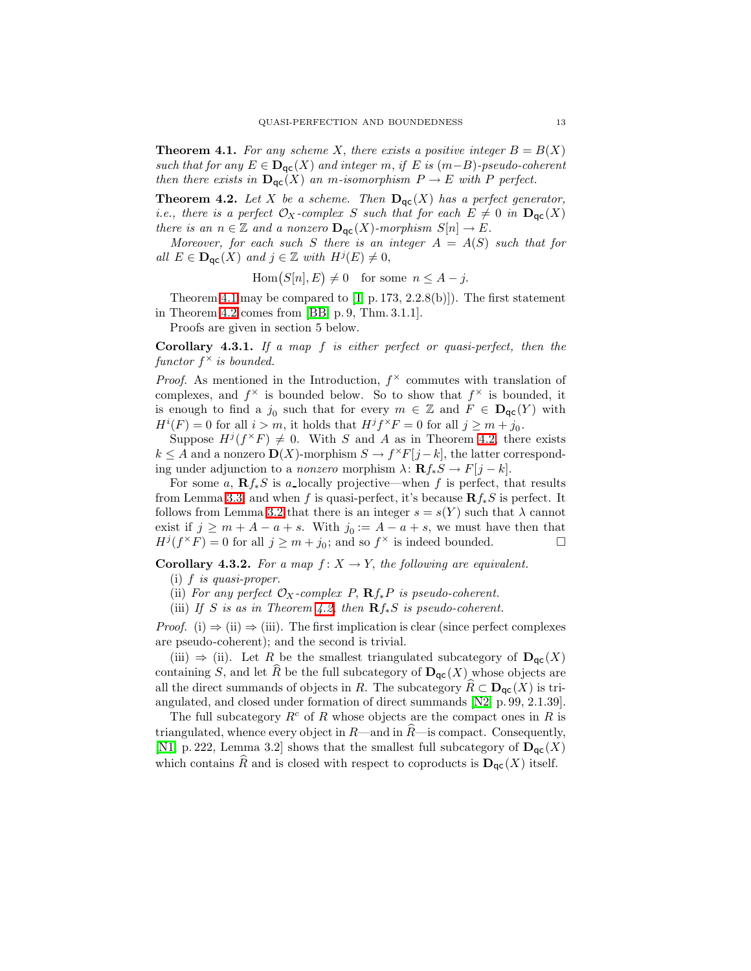**Theorem 4.1.** For any scheme X, there exists a positive integer  $B = B(X)$ such that for any  $E \in \mathbf{D}_{\mathsf{qc}}(X)$  and integer m, if E is  $(m-B)$ -pseudo-coherent then there exists in  $\mathbf{D}_{\mathsf{qc}}(X)$  an m-isomorphism  $P \to E$  with P perfect.

<span id="page-12-0"></span>**Theorem 4.2.** Let X be a scheme. Then  $D_{\text{qc}}(X)$  has a perfect generator, *i.e.*, there is a perfect  $\mathcal{O}_X$ -complex S such that for each  $E \neq 0$  in  $\mathbf{D}_{\text{qc}}(X)$ there is an  $n \in \mathbb{Z}$  and a nonzero  $\mathbf{D_{qc}}(X)$ -morphism  $S[n] \to E$ .

Moreover, for each such S there is an integer  $A = A(S)$  such that for all  $E \in \mathbf{D}_{\mathsf{qc}}(X)$  and  $j \in \mathbb{Z}$  with  $H^j(E) \neq 0$ ,

 $Hom(S[n], E) \neq 0$  for some  $n \leq A - j$ .

Theorem [4.1](#page-11-0) may be compared to  $[I, p. 173, 2.2.8(b)]$ . The first statement in Theorem [4.2](#page-12-0) comes from [\[BB,](#page-26-5) p. 9, Thm. 3.1.1].

Proofs are given in section 5 below.

<span id="page-12-1"></span>Corollary 4.3.1. If a map f is either perfect or quasi-perfect, then the functor  $f^{\times}$  is bounded.

*Proof.* As mentioned in the Introduction,  $f^{\times}$  commutes with translation of complexes, and  $f^{\times}$  is bounded below. So to show that  $f^{\times}$  is bounded, it is enough to find a  $j_0$  such that for every  $m \in \mathbb{Z}$  and  $F \in D_{\mathsf{qc}}(Y)$  with  $H^{i}(F) = 0$  for all  $i > m$ , it holds that  $H^{j}f^{\times}F = 0$  for all  $j \geq m + j_0$ .

Suppose  $H^{j}(f^{\times}F) \neq 0$ . With S and A as in Theorem [4.2,](#page-12-0) there exists  $k \leq A$  and a nonzero  $\mathbf{D}(X)$ -morphism  $S \to f^{\times}F[j-k]$ , the latter corresponding under adjunction to a *nonzero* morphism  $\lambda \colon \mathbf{R} f_* S \to F[j-k].$ 

For some a,  $\mathbf{R} f_* S$  is a locally projective—when f is perfect, that results from Lemma [3.3,](#page-9-1) and when f is quasi-perfect, it's because  $\mathbf{R} f_* S$  is perfect. It follows from Lemma [3.2](#page-9-2) that there is an integer  $s = s(Y)$  such that  $\lambda$  cannot exist if  $j \geq m + A - a + s$ . With  $j_0 := A - a + s$ , we must have then that  $H^{j}(f^{\times}F) = 0$  for all  $j \geq m + j_0$ ; and so  $f^{\times}$  is indeed bounded.

<span id="page-12-2"></span>**Corollary 4.3.2.** For a map  $f: X \to Y$ , the following are equivalent.

(i) f is quasi-proper.

- (ii) For any perfect  $\mathcal{O}_X$ -complex P,  $\mathbf{R}f_*P$  is pseudo-coherent.
- (iii) If S is as in Theorem [4.2,](#page-12-0) then  $\mathbf{R} f_* S$  is pseudo-coherent.

*Proof.* (i)  $\Rightarrow$  (ii)  $\Rightarrow$  (iii). The first implication is clear (since perfect complexes are pseudo-coherent); and the second is trivial.

(iii)  $\Rightarrow$  (ii). Let R be the smallest triangulated subcategory of  $\mathbf{D}_{\text{qc}}(X)$ containing S, and let R be the full subcategory of  $\mathbf{D}_{\mathsf{qc}}(X)$  whose objects are all the direct summands of objects in R. The subcategory  $R\subset \mathbf{D}_{\mathsf{qc}}(X)$  is triangulated, and closed under formation of direct summands [\[N2,](#page-26-12) p. 99, 2.1.39].

The full subcategory  $R^c$  of R whose objects are the compact ones in R is triangulated, whence every object in  $R$ —and in  $R$ —is compact. Consequently, [\[N1,](#page-26-4) p. 222, Lemma 3.2] shows that the smallest full subcategory of  $\mathbf{D}_{\mathsf{qc}}(X)$ which contains  $\widehat{R}$  and is closed with respect to coproducts is  $D_{\text{qc}}(X)$  itself.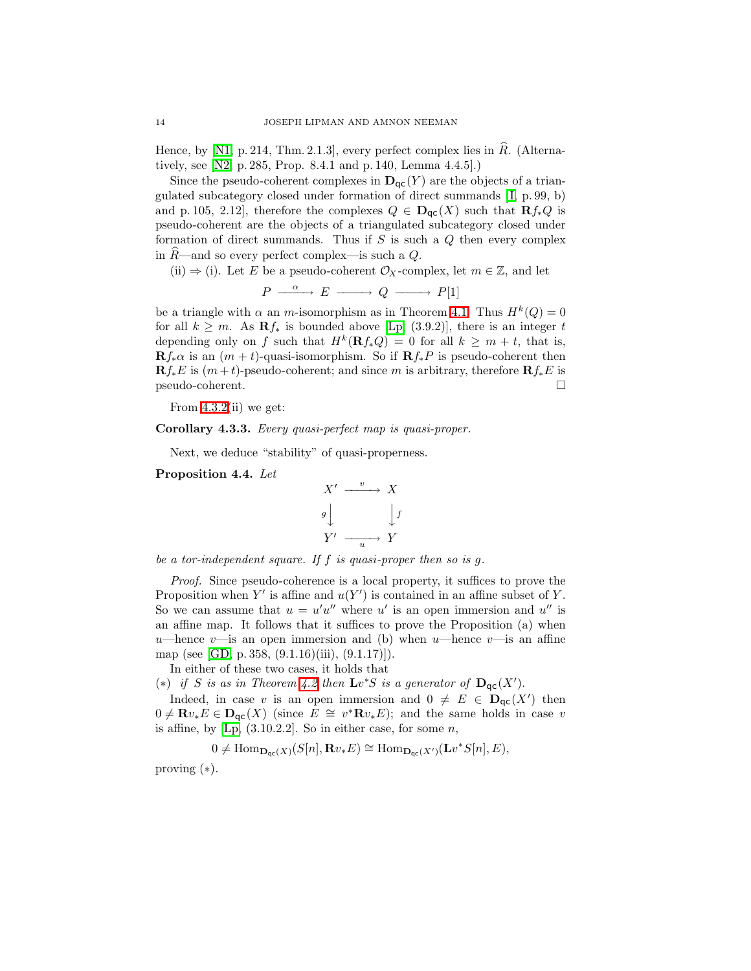Hence, by  $[N1, p. 214, Thm. 2.1.3]$ , every perfect complex lies in R. (Alternatively, see [\[N2,](#page-26-12) p. 285, Prop. 8.4.1 and p. 140, Lemma 4.4.5].)

Since the pseudo-coherent complexes in  $\mathbf{D}_{\text{qc}}(Y)$  are the objects of a triangulated subcategory closed under formation of direct summands [\[ I,](#page-26-7) p. 99, b) and p. 105, 2.12], therefore the complexes  $Q \in \mathbf{D}_{\mathsf{qc}}(X)$  such that  $\mathbf{R} f_* Q$  is pseudo-coherent are the objects of a triangulated subcategory closed under formation of direct summands. Thus if  $S$  is such a  $Q$  then every complex in  $R$ —and so every perfect complex—is such a  $Q$ .

(ii)  $\Rightarrow$  (i). Let E be a pseudo-coherent  $\mathcal{O}_X$ -complex, let  $m \in \mathbb{Z}$ , and let

$$
P \xrightarrow{\alpha} E \xrightarrow{\qquad} Q \xrightarrow{\qquad} P[1]
$$

be a triangle with  $\alpha$  an m-isomorphism as in Theorem [4.1.](#page-11-0) Thus  $H^k(Q) = 0$ for all  $k \geq m$ . As  $\mathbf{R} f_*$  is bounded above [\[Lp,](#page-26-2) (3.9.2)], there is an integer t depending only on f such that  $H^k(\mathbf{R}f_*Q) = 0$  for all  $k \geq m + t$ , that is,  $\mathbf{R}f_*\alpha$  is an  $(m + t)$ -quasi-isomorphism. So if  $\mathbf{R}f_*P$  is pseudo-coherent then  $\mathbf{R}f_*E$  is  $(m+t)$ -pseudo-coherent; and since m is arbitrary, therefore  $\mathbf{R}f_*E$  is pseudo-coherent.

From  $4.3.2$ (ii) we get:

Corollary 4.3.3. Every quasi-perfect map is quasi-proper.

Next, we deduce "stability" of quasi-properness.

<span id="page-13-0"></span>Proposition 4.4. Let

$$
X' \xrightarrow{v} X
$$
  

$$
g \downarrow \qquad \qquad \downarrow f
$$
  

$$
Y' \xrightarrow{u} Y
$$

be a tor-independent square. If  $f$  is quasi-proper then so is  $g$ .

Proof. Since pseudo-coherence is a local property, it suffices to prove the Proposition when Y' is affine and  $u(Y')$  is contained in an affine subset of Y. So we can assume that  $u = u'u''$  where u' is an open immersion and u'' is an affine map. It follows that it suffices to prove the Proposition (a) when u—hence v—is an open immersion and (b) when u—hence v—is an affine map (see [\[GD,](#page-26-1) p. 358, (9.1.16)(iii), (9.1.17)]).

In either of these two cases, it holds that

(\*) if S is as in Theorem [4.2](#page-12-0) then  $\mathbf{L}v^*S$  is a generator of  $\mathbf{D}_{\mathsf{qc}}(X')$ .

Indeed, in case v is an open immersion and  $0 \neq E \in D_{\mathsf{qc}}(X')$  then  $0 \neq \mathbf{R}v_*E \in \mathbf{D}_{\mathsf{qc}}(X)$  (since  $E \cong v^*\mathbf{R}v_*E$ ); and the same holds in case v is affine, by  $[Lp, (3.10.2.2]$ . So in either case, for some  $n$ ,

$$
0 \neq \mathrm{Hom}_{\mathbf{D}_{\mathsf{qc}}(X)}(S[n], \mathbf{R} v_*E) \cong \mathrm{Hom}_{\mathbf{D}_{\mathsf{qc}}(X')}(\mathbf{L} v^*S[n], E),
$$

proving (∗).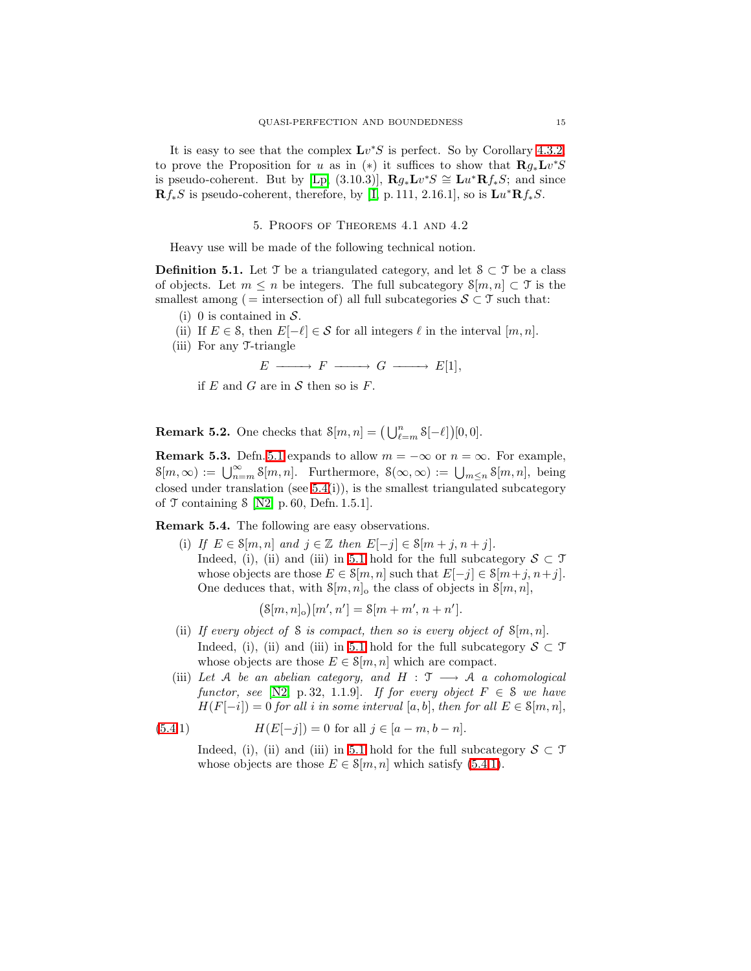It is easy to see that the complex  $\mathbf{L}v^*S$  is perfect. So by Corollary [4.3.2,](#page-12-2) to prove the Proposition for u as in (\*) it suffices to show that  $\mathbf{R}g_*\mathbf{L}v^*S$ is pseudo-coherent. But by [\[Lp,](#page-26-2) (3.10.3)],  $\mathbf{R}g_*\mathbf{L}v^*S \cong \mathbf{L}u^*\mathbf{R}f_*S$ ; and since  $\mathbf{R}f_*S$  is pseudo-coherent, therefore, by [I, p. 111, 2.16.1], so is  $\mathbf{L}u^*\mathbf{R}f_*S$ .

### 5. Proofs of Theorems 4.1 and 4.2

Heavy use will be made of the following technical notion.

<span id="page-14-0"></span>**Definition 5.1.** Let  $\mathcal{T}$  be a triangulated category, and let  $\mathcal{S} \subset \mathcal{T}$  be a class of objects. Let  $m \leq n$  be integers. The full subcategory  $\mathcal{S}[m,n] \subset \mathcal{T}$  is the smallest among ( = intersection of) all full subcategories  $S \subset \mathcal{T}$  such that:

- (i) 0 is contained in  $S$ .
- (ii) If  $E \in \mathcal{S}$ , then  $E[-\ell] \in \mathcal{S}$  for all integers  $\ell$  in the interval  $[m, n]$ .
- (iii) For any T-triangle

$$
E \longrightarrow F \longrightarrow G \longrightarrow E[1],
$$

if  $E$  and  $G$  are in  $S$  then so is  $F$ .

**Remark 5.2.** One checks that  $\mathcal{S}[m,n] = (\bigcup_{\ell=m}^{n} \mathcal{S}[-\ell])[0,0].$ 

<span id="page-14-3"></span>**Remark 5.3.** Defn. [5.1](#page-14-0) expands to allow  $m = -\infty$  or  $n = \infty$ . For example,  $\mathcal{S}[m,\infty) := \bigcup_{n=m}^{\infty} \mathcal{S}[m,n].$  Furthermore,  $\mathcal{S}(\infty,\infty) := \bigcup_{m \leq n} \mathcal{S}[m,n],$  being closed under translation (see  $5.4(i)$ ), is the smallest triangulated subcategory of  $\mathcal T$  containing  $\mathcal S$  [\[N2,](#page-26-12) p. 60, Defn. 1.5.1].

<span id="page-14-1"></span>Remark 5.4. The following are easy observations.

(i) If  $E \in \mathcal{S}[m,n]$  and  $j \in \mathbb{Z}$  then  $E[-j] \in \mathcal{S}[m+j,n+j]$ . Indeed, (i), (ii) and (iii) in [5.1](#page-14-0) hold for the full subcategory  $S \subset \mathcal{T}$ whose objects are those  $E \in \mathcal{S}[m,n]$  such that  $E[-j] \in \mathcal{S}[m+j,n+j]$ . One deduces that, with  $\mathcal{S}[m,n]_0$  the class of objects in  $\mathcal{S}[m,n]$ ,

<span id="page-14-2"></span>
$$
(\mathcal{S}[m,n]_{\mathrm{o}})[m',n'] = \mathcal{S}[m+m',n+n'].
$$

- (ii) If every object of S is compact, then so is every object of  $\mathcal{S}[m,n]$ . Indeed, (i), (ii) and (iii) in [5.1](#page-14-0) hold for the full subcategory  $S \subset \mathcal{T}$ whose objects are those  $E \in \mathcal{S}[m,n]$  which are compact.
- (iii) Let A be an abelian category, and  $H : \mathcal{T} \longrightarrow \mathcal{A}$  a cohomological functor, see [\[N2,](#page-26-12) p. 32, 1.1.9]. If for every object  $F \in \mathcal{S}$  we have  $H(F[-i]) = 0$  for all i in some interval [a, b], then for all  $E \in \mathcal{S}[m,n]$ ,

(5.4.1) 
$$
H(E[-j]) = 0 \text{ for all } j \in [a-m, b-n].
$$

Indeed, (i), (ii) and (iii) in [5.1](#page-14-0) hold for the full subcategory  $S \subset \mathcal{T}$ whose objects are those  $E \in \mathcal{S}[m,n]$  which satisfy [\(5.4](#page-14-1)[.1\)](#page-14-2).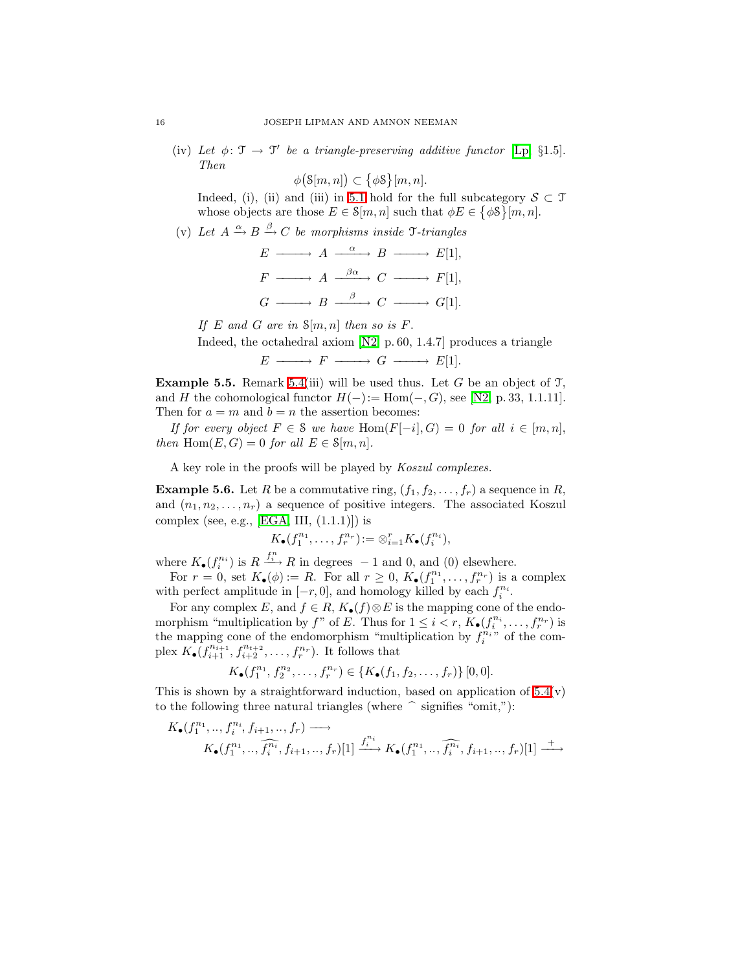(iv) Let  $\phi \colon \mathfrak{T} \to \mathfrak{T}'$  be a triangle-preserving additive functor [\[Lp,](#page-26-2) §1.5]. Then

 $\phi$ (S[m, n])  $\subset \{\phi$ S}[m, n].

Indeed, (i), (ii) and (iii) in [5.1](#page-14-0) hold for the full subcategory  $S \subset \mathcal{T}$ whose objects are those  $E \in \mathcal{S}[m,n]$  such that  $\phi E \in \{\phi \mathcal{S}\}\, [m,n].$ 

(v) Let  $A \xrightarrow{\alpha} B \xrightarrow{\beta} C$  be morphisms inside  $\mathcal{T}\text{-triangles}$ 

$$
E \longrightarrow A \xrightarrow{\alpha} B \longrightarrow E[1],
$$
  
\n
$$
F \longrightarrow A \xrightarrow{\beta\alpha} C \longrightarrow F[1],
$$
  
\n
$$
G \longrightarrow B \xrightarrow{\beta} C \longrightarrow G[1].
$$

If E and G are in  $\mathcal{S}[m,n]$  then so is F.

Indeed, the octahedral axiom [\[N2,](#page-26-12) p. 60, 1.4.7] produces a triangle

 $E \longrightarrow F \longrightarrow G \longrightarrow E[1].$ 

<span id="page-15-1"></span>**Example 5.5.** Remark [5.4\(](#page-14-1)iii) will be used thus. Let G be an object of  $\mathcal{T}$ , and H the cohomological functor  $H(-) := \text{Hom}(-, G)$ , see [\[N2,](#page-26-12) p. 33, 1.1.11]. Then for  $a = m$  and  $b = n$  the assertion becomes:

If for every object  $F \in \mathcal{S}$  we have  $\text{Hom}(F[-i], G) = 0$  for all  $i \in [m, n]$ , then Hom $(E, G) = 0$  for all  $E \in \mathcal{S}[m, n]$ .

A key role in the proofs will be played by Koszul complexes.

<span id="page-15-0"></span>**Example 5.6.** Let R be a commutative ring,  $(f_1, f_2, \ldots, f_r)$  a sequence in R, and  $(n_1, n_2, \ldots, n_r)$  a sequence of positive integers. The associated Koszul complex (see, e.g., [\[EGA,](#page-26-9) III,  $(1.1.1)$ ]) is

$$
K_{\bullet}(f_1^{n_1},\ldots,f_r^{n_r}) := \otimes_{i=1}^r K_{\bullet}(f_i^{n_i}),
$$

where  $K_{\bullet}(f_i^{n_i})$  is  $R \xrightarrow{f_i^n} R$  in degrees -1 and 0, and (0) elsewhere.

For  $r = 0$ , set  $K_{\bullet}(\phi) := R$ . For all  $r \geq 0$ ,  $K_{\bullet}(f_1^{n_1}, \ldots, f_r^{n_r})$  is a complex with perfect amplitude in  $[-r, 0]$ , and homology killed by each  $f_i^{n_i}$ .

For any complex E, and  $f \in R$ ,  $K_{\bullet}(f) \otimes E$  is the mapping cone of the endomorphism "multiplication by f" of E. Thus for  $1 \leq i < r$ ,  $K_{\bullet}(f_i^{n_i}, \ldots, f_r^{n_r})$  is the mapping cone of the endomorphism "multiplication by  $f_i^{n_i}$ " of the complex  $K_{\bullet}(f_{i+1}^{n_{i+1}}, f_{i+2}^{n_{t+2}}, \ldots, f_r^{n_r})$ . It follows that

$$
K_{\bullet}(f_1^{n_1}, f_2^{n_2}, \ldots, f_r^{n_r}) \in \{K_{\bullet}(f_1, f_2, \ldots, f_r)\}\, [0, 0].
$$

This is shown by a straightforward induction, based on application of  $5.4(v)$ to the following three natural triangles (where  $\hat{ }$  signifies "omit,"):

$$
K_{\bullet}(f_1^{n_1},\ldots,f_i^{n_i},f_{i+1},\ldots,f_r) \longrightarrow
$$
  

$$
K_{\bullet}(f_1^{n_1},\ldots,\widehat{f_i^{n_i}},f_{i+1},\ldots,f_r)[1] \xrightarrow{f_i^{n_i}} K_{\bullet}(f_1^{n_1},\ldots,\widehat{f_i^{n_i}},f_{i+1},\ldots,f_r)[1] \xrightarrow{+}
$$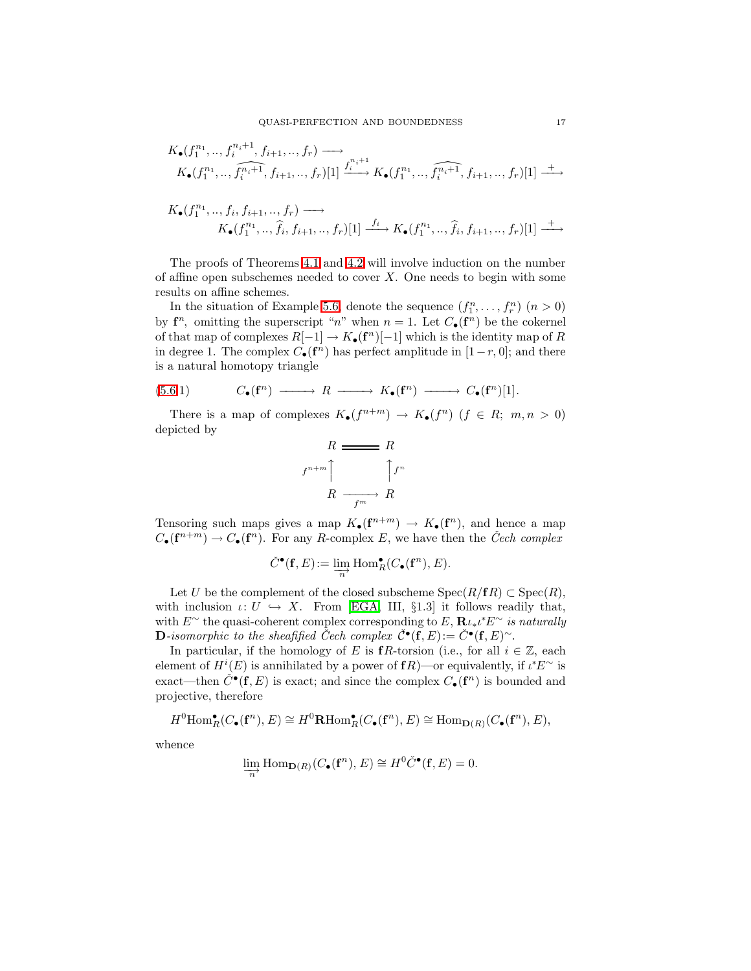$$
K_{\bullet}(f_1^{n_1},\ldots,f_i^{n_i+1},f_{i+1},\ldots,f_r) \longrightarrow
$$
  

$$
K_{\bullet}(f_1^{n_1},\ldots,\widehat{f_i^{n_i+1}},f_{i+1},\ldots,f_r)[1] \xrightarrow{f_i^{n_i+1}} K_{\bullet}(f_1^{n_1},\ldots,\widehat{f_i^{n_i+1}},f_{i+1},\ldots,f_r)[1] \xrightarrow{+}
$$

$$
K_{\bullet}(f_{1}^{n_{1}},\ldots,f_{i},f_{i+1},\ldots,f_{r}) \longrightarrow
$$
  

$$
K_{\bullet}(f_{1}^{n_{1}},\ldots,\hat{f}_{i},f_{i+1},\ldots,f_{r})[1] \xrightarrow{f_{i}} K_{\bullet}(f_{1}^{n_{1}},\ldots,\hat{f}_{i},f_{i+1},\ldots,f_{r})[1] \xrightarrow{+}
$$

The proofs of Theorems [4.1](#page-11-0) and [4.2](#page-12-0) will involve induction on the number of affine open subschemes needed to cover  $X$ . One needs to begin with some results on affine schemes.

In the situation of Example [5.6,](#page-15-0) denote the sequence  $(f_1^n, \ldots, f_r^n)$   $(n > 0)$ by  $f^n$ , omitting the superscript "n" when  $n = 1$ . Let  $C_{\bullet}(f^n)$  be the cokernel of that map of complexes  $R[-1] \to K_{\bullet}(\mathbf{f}^n)[-1]$  which is the identity map of R in degree 1. The complex  $C_{\bullet}(\mathbf{f}^n)$  has perfect amplitude in  $[1-r, 0]$ ; and there is a natural homotopy triangle

(5.6.1) 
$$
C_{\bullet}(\mathbf{f}^n) \longrightarrow R \longrightarrow K_{\bullet}(\mathbf{f}^n) \longrightarrow C_{\bullet}(\mathbf{f}^n)[1].
$$

There is a map of complexes  $K_{\bullet}(f^{n+m}) \to K_{\bullet}(f^n)$   $(f \in R; m, n > 0)$ depicted by

<span id="page-16-0"></span>
$$
R \xrightarrow{\text{R}} R
$$
\n
$$
f^{n+m} \uparrow \qquad \qquad \uparrow f^n
$$
\n
$$
R \xrightarrow{\text{Fm}} R
$$

Tensoring such maps gives a map  $K_{\bullet}(\mathbf{f}^{n+m}) \to K_{\bullet}(\mathbf{f}^n)$ , and hence a map  $C_{\bullet}(\mathbf{f}^{n+m}) \to C_{\bullet}(\mathbf{f}^n)$ . For any R-complex E, we have then the *Čech complex* 

$$
\check{C}^{\bullet}(\mathbf{f}, E) := \varinjlim_{n} \text{Hom}_{R}^{\bullet}(C_{\bullet}(\mathbf{f}^{n}), E).
$$

Let U be the complement of the closed subscheme  $Spec(R/fR) \subset Spec(R)$ , with inclusion  $\iota: U \hookrightarrow X$ . From [\[EGA,](#page-26-9) III, §1.3] it follows readily that, with  $E^{\sim}$  the quasi-coherent complex corresponding to  $E$ ,  $\mathbf{R}_{\ell * \ell} E^{\sim}$  is naturally D-isomorphic to the sheafified Cech complex  $\check{\mathcal{C}}\bullet(\check{\mathbf{f}},E) := \check{\mathcal{C}}\bullet(\mathbf{f},E)^\sim$ .

In particular, if the homology of E is fR-torsion (i.e., for all  $i \in \mathbb{Z}$ , each element of  $H^i(E)$  is annihilated by a power of  $fR$ )—or equivalently, if  $\iota^*E^{\sim}$  is exact—then  $\check{C}^{\bullet}(\mathbf{f}, E)$  is exact; and since the complex  $C_{\bullet}(\mathbf{f}^n)$  is bounded and projective, therefore

 $H^0 \text{Hom}_R^{\bullet}(C_\bullet(\mathbf{f}^n), E) \cong H^0 \textbf{R} \text{Hom}_R^{\bullet}(C_\bullet(\mathbf{f}^n), E) \cong \text{Hom}_{\mathbf{D}(R)}(C_\bullet(\mathbf{f}^n), E),$ 

whence

$$
\lim_{\longrightarrow} \text{Hom}_{\mathbf{D}(R)}(C_{\bullet}(\mathbf{f}^n), E) \cong H^0 \check{C}^{\bullet}(\mathbf{f}, E) = 0.
$$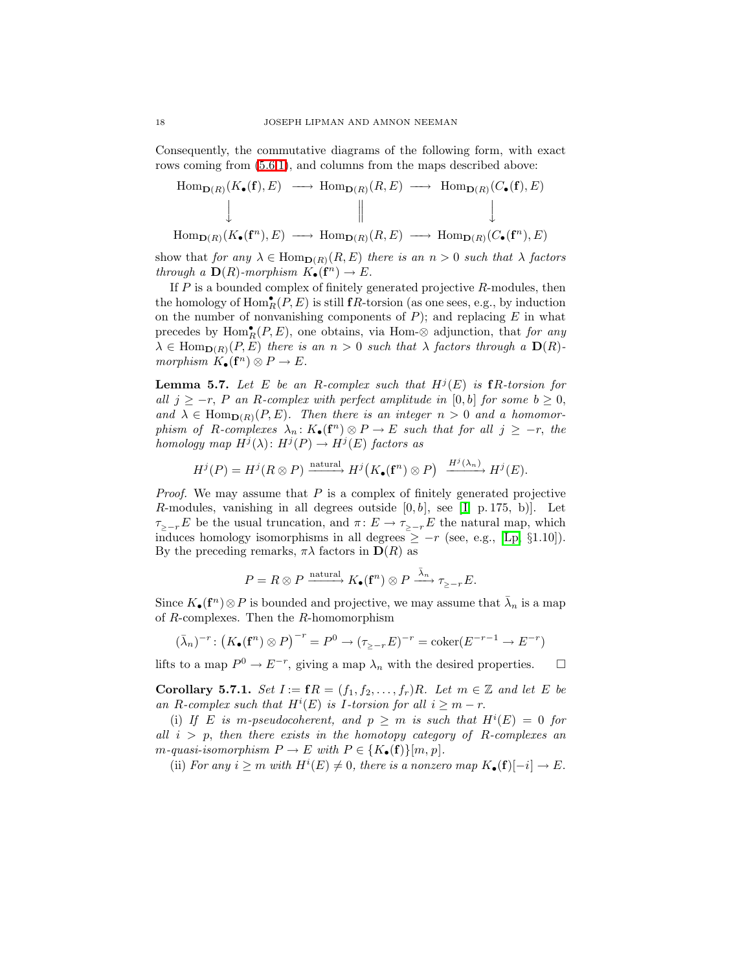Consequently, the commutative diagrams of the following form, with exact rows coming from  $(5.6.1)$  $(5.6.1)$ , and columns from the maps described above:

$$
\begin{array}{ccc}\n\text{Hom}_{\mathbf{D}(R)}(K_{\bullet}(\mathbf{f}), E) & \longrightarrow & \text{Hom}_{\mathbf{D}(R)}(R, E) & \longrightarrow & \text{Hom}_{\mathbf{D}(R)}(C_{\bullet}(\mathbf{f}), E) \\
\downarrow & & \parallel & & \downarrow \\
\text{Hom}_{\mathbf{D}(R)}(K_{\bullet}(\mathbf{f}^n), E) & \longrightarrow & \text{Hom}_{\mathbf{D}(R)}(R, E) & \longrightarrow & \text{Hom}_{\mathbf{D}(R)}(C_{\bullet}(\mathbf{f}^n), E)\n\end{array}
$$

show that for any  $\lambda \in \text{Hom}_{\mathbf{D}(R)}(R, E)$  there is an  $n > 0$  such that  $\lambda$  factors through a  $\mathbf{D}(R)$ -morphism  $K_{\bullet}(\mathbf{f}^n) \to E$ .

If  $P$  is a bounded complex of finitely generated projective  $R$ -modules, then the homology of  $\text{Hom}_R^{\bullet}(P, E)$  is still  $\mathbf{f}R$ -torsion (as one sees, e.g., by induction on the number of nonvanishing components of  $P$ ); and replacing  $E$  in what precedes by  $\text{Hom}_R^{\bullet}(P, E)$ , one obtains, via Hom-⊗ adjunction, that for any  $\lambda \in \text{Hom}_{\mathbf{D}(R)}(P, E)$  there is an  $n > 0$  such that  $\lambda$  factors through a  $\mathbf{D}(R)$ morphism  $K_{\bullet}(\mathbf{f}^n) \otimes P \to E$ .

<span id="page-17-0"></span>**Lemma 5.7.** Let E be an R-complex such that  $H^{j}(E)$  is fR-torsion for all  $j \geq -r$ , P an R-complex with perfect amplitude in [0, b] for some  $b \geq 0$ , and  $\lambda \in \text{Hom}_{\mathbf{D}(R)}(P, E)$ . Then there is an integer  $n > 0$  and a homomorphism of R-complexes  $\lambda_n: K_{\bullet}(\mathbf{f}^n) \otimes P \to E$  such that for all  $j \geq -r$ , the homology map  $H^j(\lambda)$ :  $H^j(P) \to H^j(E)$  factors as

$$
H^j(P)=H^j(R\otimes P)\xrightarrow{\rm natural} H^j\bigl(K_\bullet(\mathbf{f}^n)\otimes P\bigr)\xrightarrow{H^j(\lambda_n)} H^j(E).
$$

*Proof.* We may assume that  $P$  is a complex of finitely generated projective R-modules, vanishing in all degrees outside  $[0, b]$ , see  $[I, p. 175, b]$ . Let  $τ_{≥-r}E$  be the usual truncation, and  $π: E → τ_{≥-r}E$  the natural map, which induces homology isomorphisms in all degrees  $\geq -r$  (see, e.g., [\[Lp,](#page-26-2) §1.10]). By the preceding remarks,  $\pi\lambda$  factors in  $\mathbf{D}(R)$  as

$$
P=R\otimes P\xrightarrow{\rm natural} K_\bullet({\bf f}^n)\otimes P\xrightarrow{\tilde\lambda_n} \tau_{\ge -r}E.
$$

Since  $K_{\bullet}(\mathbf{f}^n) \otimes P$  is bounded and projective, we may assume that  $\bar{\lambda}_n$  is a map of R-complexes. Then the R-homomorphism

$$
(\bar{\lambda}_n)^{-r} \colon \big( K_{\bullet}(\mathbf{f}^n) \otimes P \big)^{-r} = P^0 \to (\tau_{\geq -r} E)^{-r} = \mathrm{coker}(E^{-r-1} \to E^{-r})
$$

lifts to a map  $P^0 \to E^{-r}$ , giving a map  $\lambda_n$  with the desired properties.  $\square$ 

<span id="page-17-1"></span>Corollary 5.7.1. Set  $I := fR = (f_1, f_2, \ldots, f_r)R$ . Let  $m \in \mathbb{Z}$  and let E be an R-complex such that  $H^i(E)$  is *I*-torsion for all  $i \geq m-r$ .

(i) If E is m-pseudocoherent, and  $p \geq m$  is such that  $H^{i}(E) = 0$  for all  $i > p$ , then there exists in the homotopy category of R-complexes an m-quasi-isomorphism  $P \to E$  with  $P \in \{K_{\bullet}(\mathbf{f})\}[m, p]$ .

(ii) For any  $i \geq m$  with  $H^{i}(E) \neq 0$ , there is a nonzero map  $K_{\bullet}(\mathbf{f})[-i] \to E$ .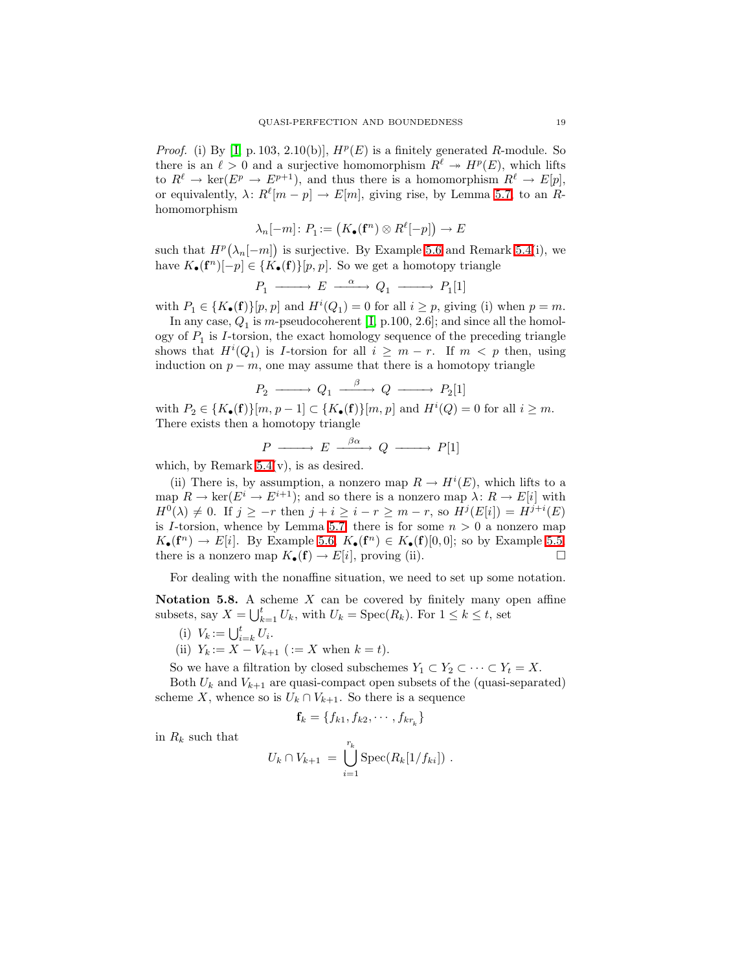*Proof.* (i) By [I, p. 103, 2.10(b)],  $H^p(E)$  is a finitely generated R-module. So there is an  $\ell > 0$  and a surjective homomorphism  $R^{\ell} \to H^p(E)$ , which lifts to  $R^{\ell} \to \text{ker}(E^p \to E^{p+1})$ , and thus there is a homomorphism  $R^{\ell} \to E[p]$ , or equivalently,  $\lambda: R^{\ell}[m-p] \to E[m]$ , giving rise, by Lemma [5.7,](#page-17-0) to an Rhomomorphism

$$
\lambda_n[-m]\colon P_1:=\bigl(K_\bullet(\mathbf{f}^n)\otimes R^\ell[-p]\bigr)\to E
$$

such that  $H^p(\lambda_n[-m])$  is surjective. By Example [5.6](#page-15-0) and Remark [5.4\(](#page-14-1)i), we have  $K_{\bullet}(\mathbf{f}^n)[-p] \in \{K_{\bullet}(\mathbf{f})\}[p, p]$ . So we get a homotopy triangle

$$
P_1 \longrightarrow E \longrightarrow Q_1 \longrightarrow P_1[1]
$$

with  $P_1 \in \{K_\bullet(\mathbf{f})\}[p, p]$  and  $H^i(Q_1) = 0$  for all  $i \geq p$ , giving (i) when  $p = m$ .

In any case,  $Q_1$  is m-pseudocoherent [I, p.100, 2.6]; and since all the homology of  $P_1$  is *I*-torsion, the exact homology sequence of the preceding triangle shows that  $H^{i}(Q_1)$  is *I*-torsion for all  $i \geq m-r$ . If  $m < p$  then, using induction on  $p - m$ , one may assume that there is a homotopy triangle

$$
P_2 \longrightarrow Q_1 \xrightarrow{\beta} Q \longrightarrow P_2[1]
$$

with  $P_2 \in \{K_{\bullet}(\mathbf{f})\}[m, p-1] \subset \{K_{\bullet}(\mathbf{f})\}[m, p]$  and  $H^{i}(Q) = 0$  for all  $i \geq m$ . There exists then a homotopy triangle

$$
P \longrightarrow E \longrightarrow^{\beta\alpha} Q \longrightarrow P[1]
$$

which, by Remark  $5.4(v)$ , is as desired.

(ii) There is, by assumption, a nonzero map  $R \to H^{i}(E)$ , which lifts to a map  $R \to \text{ker}(E^i \to E^{i+1})$ ; and so there is a nonzero map  $\lambda: R \to E[i]$  with  $H^0(\lambda) \neq 0$ . If  $j \geq -r$  then  $j + i \geq i - r \geq m - r$ , so  $H^j(E[i]) = H^{j+i}(E)$ is I-torsion, whence by Lemma [5.7,](#page-17-0) there is for some  $n > 0$  a nonzero map  $K_{\bullet}(\mathbf{f}^n) \to E[i]$ . By Example [5.6,](#page-15-0)  $K_{\bullet}(\mathbf{f}^n) \in K_{\bullet}(\mathbf{f})[0,0]$ ; so by Example [5.5,](#page-15-1) there is a nonzero map  $K_{\bullet}(\mathbf{f}) \to E[i]$ , proving (ii).

For dealing with the nonaffine situation, we need to set up some notation.

<span id="page-18-0"></span>Notation 5.8. A scheme  $X$  can be covered by finitely many open affine subsets, say  $X = \bigcup_{k=1}^{t} U_k$ , with  $U_k = \text{Spec}(R_k)$ . For  $1 \leq k \leq t$ , set

- (i)  $V_k := \bigcup_{i=k}^t U_i$ .
- (ii)  $Y_k := X V_{k+1}$  ( $:= X$  when  $k = t$ ).

So we have a filtration by closed subschemes  $Y_1 \subset Y_2 \subset \cdots \subset Y_t = X$ .

Both  $U_k$  and  $V_{k+1}$  are quasi-compact open subsets of the (quasi-separated) scheme X, whence so is  $U_k \cap V_{k+1}$ . So there is a sequence

$$
\mathbf{f}_k = \{f_{k1}, f_{k2}, \cdots, f_{kr_k}\}
$$

in  $R_k$  such that

$$
U_k \cap V_{k+1} = \bigcup_{i=1}^{r_k} \text{Spec}(R_k[1/f_{ki}]) .
$$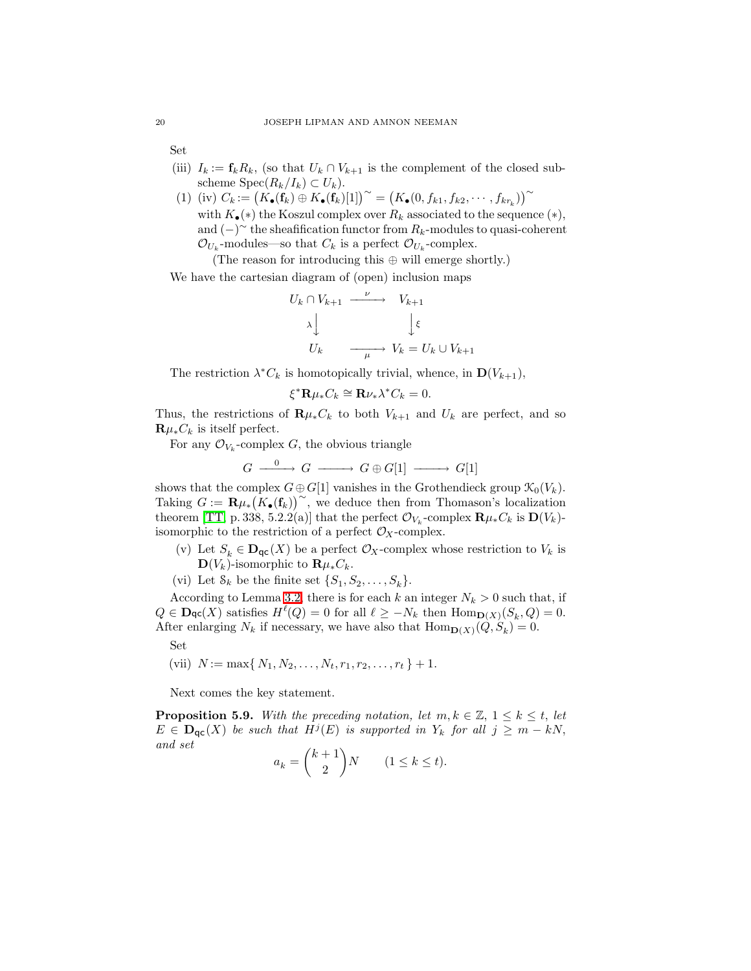Set

- (iii)  $I_k := \mathbf{f}_k R_k$ , (so that  $U_k \cap V_{k+1}$  is the complement of the closed subscheme  $Spec(R_k/I_k) \subset U_k$ .
- (1) (iv)  $C_k := (K_{\bullet}(\mathbf{f}_k) \oplus K_{\bullet}(\mathbf{f}_k)[1])^{\sim} = (K_{\bullet}(0, f_{k1}, f_{k2}, \cdots, f_{kr_k}))^{\sim}$ with  $K_{\bullet}(*)$  the Koszul complex over  $R_k$  associated to the sequence  $(*),$ and  $(-)^\sim$  the sheafification functor from  $R_k$ -modules to quasi-coherent  $\mathcal{O}_{U_k}$ -modules—so that  $C_k$  is a perfect  $\mathcal{O}_{U_k}$ -complex.

(The reason for introducing this ⊕ will emerge shortly.)

We have the cartesian diagram of (open) inclusion maps

$$
U_k \cap V_{k+1} \xrightarrow{\nu} V_{k+1}
$$
  

$$
\lambda \downarrow \qquad \qquad \downarrow \xi
$$
  

$$
U_k \xrightarrow{\mu} V_k = U_k \cup V_{k+1}
$$

The restriction  $\lambda^* C_k$  is homotopically trivial, whence, in  $\mathbf{D}(V_{k+1}),$ 

$$
\xi^* \mathbf{R} \mu_* C_k \cong \mathbf{R} \nu_* \lambda^* C_k = 0.
$$

Thus, the restrictions of  $\mathbf{R}\mu_* C_k$  to both  $V_{k+1}$  and  $U_k$  are perfect, and so  $\mathbf{R}\mu_*C_k$  is itself perfect.

For any  $\mathcal{O}_{V_k}$ -complex G, the obvious triangle

$$
G \xrightarrow{\quad 0 \quad} G \xrightarrow{\quad} G \oplus G[1] \xrightarrow{\quad} G[1]
$$

shows that the complex  $G \oplus G[1]$  vanishes in the Grothendieck group  $\mathcal{K}_0(V_k)$ . Taking  $G := \mathbf{R} \mu_* \big( K_{\bullet}(\mathbf{f}_k) \big)^{\sim}$ , we deduce then from Thomason's localization theorem [\[TT,](#page-26-8) p. 338, 5.2.2(a)] that the perfect  $\mathcal{O}_{V_k}$ -complex  $\mathbf{R} \mu_* C_k$  is  $\mathbf{D}(V_k)$ isomorphic to the restriction of a perfect  $\mathcal{O}_X$ -complex.

- (v) Let  $S_k \in \mathbf{D}_{\mathsf{qc}}(X)$  be a perfect  $\mathcal{O}_X$ -complex whose restriction to  $V_k$  is  $\mathbf{D}(V_k)$ -isomorphic to  $\mathbf{R}\mu_* C_k$ .
- (vi) Let  $S_k$  be the finite set  $\{S_1, S_2, \ldots, S_k\}$ .

According to Lemma [3.2,](#page-9-2) there is for each k an integer  $N_k > 0$  such that, if  $Q \in \textbf{Dqc}(X)$  satisfies  $H^{\ell}(Q) = 0$  for all  $\ell \geq -N_k$  then  $\text{Hom}_{\textbf{D}(X)}(S_k, Q) = 0$ . After enlarging  $N_k$  if necessary, we have also that  $\text{Hom}_{\mathbf{D}(X)}(Q, S_k) = 0$ .

Set

(vii) 
$$
N := \max\{N_1, N_2, \ldots, N_t, r_1, r_2, \ldots, r_t\} + 1.
$$

Next comes the key statement.

<span id="page-19-0"></span>**Proposition 5.9.** With the preceding notation, let  $m, k \in \mathbb{Z}, 1 \leq k \leq t$ , let  $E \in \mathbf{D}_{\mathsf{qc}}(X)$  be such that  $H^j(E)$  is supported in  $Y_k$  for all  $j \geq m - kN$ , and set

$$
a_k = \binom{k+1}{2}N \qquad (1 \le k \le t).
$$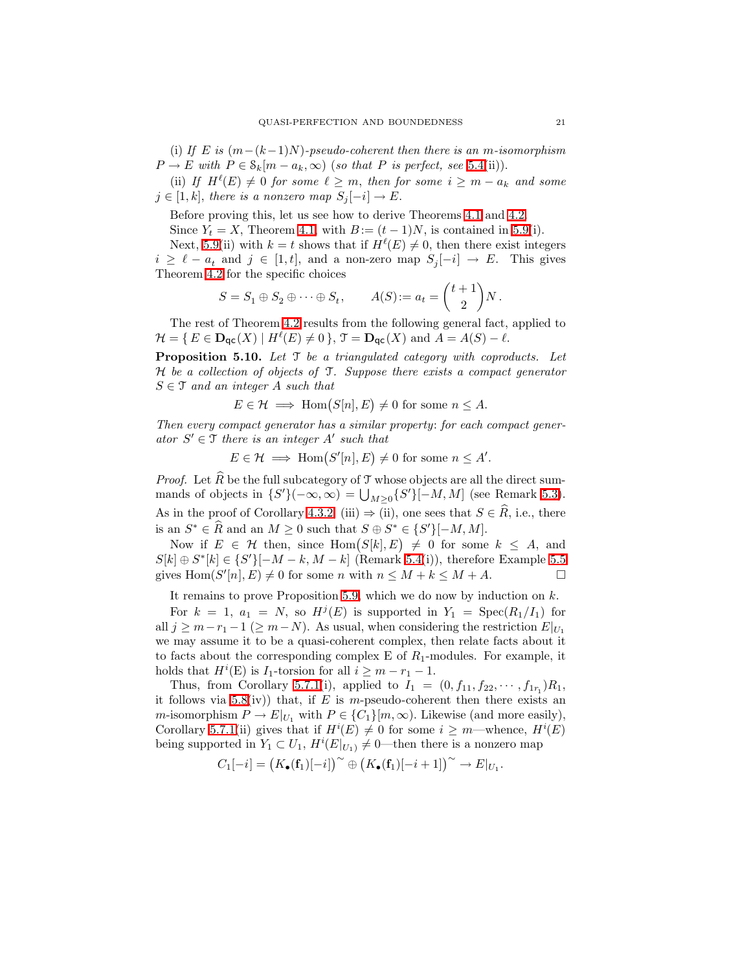(i) If E is  $(m-(k-1)N)$ -pseudo-coherent then there is an m-isomorphism  $P \to E$  with  $P \in \mathcal{S}_k[m - a_k, \infty)$  (so that P is perfect, see [5.4\(](#page-14-1)ii)).

(ii) If  $H^{\ell}(E) \neq 0$  for some  $\ell \geq m$ , then for some  $i \geq m - a_k$  and some  $j \in [1, k]$ , there is a nonzero map  $S_j[-i] \to E$ .

Before proving this, let us see how to derive Theorems [4.1](#page-11-0) and [4.2.](#page-12-0)

Since  $Y_t = X$ , Theorem [4.1,](#page-11-0) with  $B := (t-1)N$ , is contained in [5.9\(](#page-19-0)i).

Next, [5.9\(](#page-19-0)ii) with  $k = t$  shows that if  $H^{\ell}(E) \neq 0$ , then there exist integers  $i \geq \ell - a_t$  and  $j \in [1, t]$ , and a non-zero map  $S_j[-i] \to E$ . This gives Theorem [4.2](#page-12-0) for the specific choices

$$
S = S_1 \oplus S_2 \oplus \cdots \oplus S_t, \qquad A(S) := a_t = \binom{t+1}{2} N.
$$

The rest of Theorem [4.2](#page-12-0) results from the following general fact, applied to  $\mathcal{H} = \{ E \in \mathbf{D}_{\mathsf{qc}}(X) \mid H^{\ell}(E) \neq 0 \}, \mathcal{T} = \mathbf{D}_{\mathsf{qc}}(X) \text{ and } A = A(S) - \ell.$ 

**Proposition 5.10.** Let  $\mathcal{T}$  be a triangulated category with coproducts. Let H be a collection of objects of T. Suppose there exists a compact generator  $S \in \mathcal{T}$  and an integer A such that

$$
E \in \mathcal{H} \implies \text{Hom}(S[n], E) \neq 0 \text{ for some } n \leq A.
$$

Then every compact generator has a similar property: for each compact generator  $S' \in \mathcal{T}$  there is an integer  $A'$  such that

 $E \in \mathcal{H} \implies \text{Hom}(S'[n], E) \neq 0 \text{ for some } n \leq A'.$ 

*Proof.* Let  $\widehat{R}$  be the full subcategory of  $\mathcal T$  whose objects are all the direct summands of objects in  $\{S'\}(-\infty,\infty) = \bigcup_{M\geq 0} \{S'\}[-M,M]$  (see Remark [5.3\)](#page-14-3). As in the proof of Corollary [4.3.2,](#page-12-2) (iii)  $\Rightarrow$  (ii), one sees that  $S \in \mathbb{R}$ , i.e., there is an  $S^* \in \hat{R}$  and an  $M \geq 0$  such that  $S \oplus S^* \in \{S'\}[-M, M]$ .

Now if  $E \in \mathcal{H}$  then, since  $\text{Hom}(S[k], E) \neq 0$  for some  $k \leq A$ , and  $S[k] \oplus S^*[k] \in \{S'\}[-M-k, M-k]$  (Remark [5.4\(](#page-14-1)i)), therefore Example [5.5](#page-15-1) gives  $\text{Hom}(S'[n], E) \neq 0$  for some n with  $n \leq M + k \leq M + A$ .

It remains to prove Proposition [5.9,](#page-19-0) which we do now by induction on k.

For  $k = 1$ ,  $a_1 = N$ , so  $H^{j}(E)$  is supported in  $Y_1 = \text{Spec}(R_1/I_1)$  for all  $j \geq m-r_1-1 \ (\geq m-N)$ . As usual, when considering the restriction  $E|_{U_1}$ we may assume it to be a quasi-coherent complex, then relate facts about it to facts about the corresponding complex E of  $R_1$ -modules. For example, it holds that  $H^i(E)$  is  $I_1$ -torsion for all  $i \geq m-r_1-1$ .

Thus, from Corollary [5.7.1\(](#page-17-1)i), applied to  $I_1 = (0, f_{11}, f_{22}, \cdots, f_{1r_1})R_1$ , it follows via [5.8\(](#page-18-0)iv)) that, if E is m-pseudo-coherent then there exists an m-isomorphism  $P \to E|_{U_1}$  with  $P \in \{C_1\}$ [m,  $\infty$ ). Likewise (and more easily), Corollary [5.7.1\(](#page-17-1)ii) gives that if  $H^{i}(E) \neq 0$  for some  $i \geq m$ —whence,  $H^{i}(E)$ being supported in  $Y_1 \subset U_1$ ,  $H^i(E|_{U_1}) \neq 0$ —then there is a nonzero map

$$
C_1[-i] = (K_{\bullet}(\mathbf{f}_1)[-i]) \sim \bigoplus (K_{\bullet}(\mathbf{f}_1)[-i+1]\big) \sim \bigoplus E|_{U_1}.
$$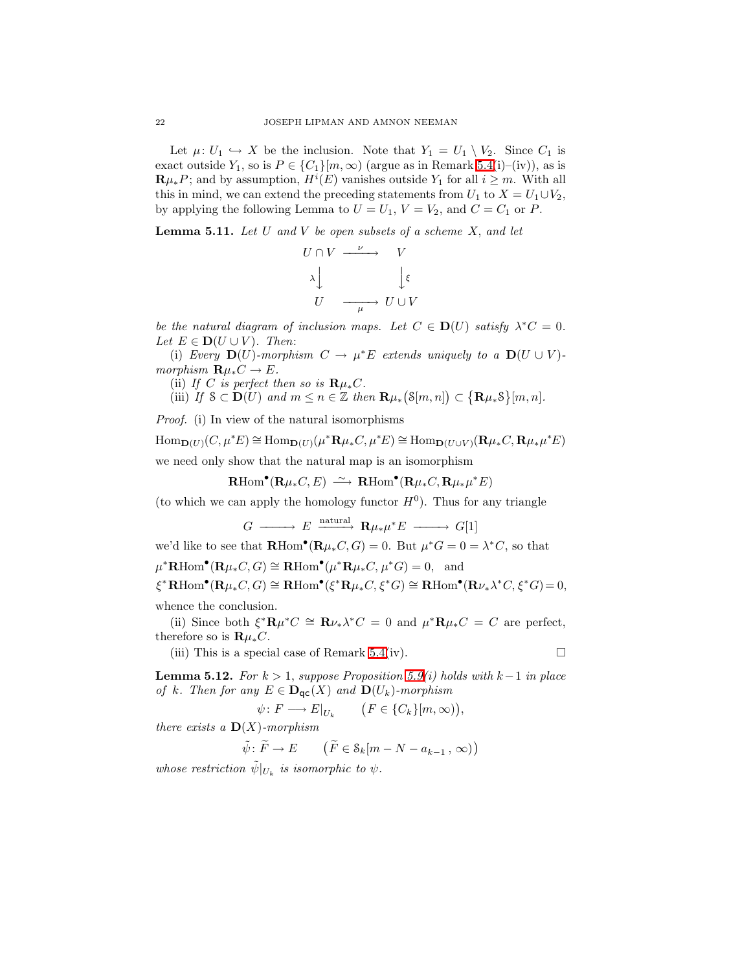Let  $\mu: U_1 \hookrightarrow X$  be the inclusion. Note that  $Y_1 = U_1 \setminus V_2$ . Since  $C_1$  is exact outside  $Y_1$ , so is  $P \in \{C_1\}[m,\infty)$  (argue as in Remark [5.4\(](#page-14-1)i)–(iv)), as is  $\mathbf{R}\mu_*P$ ; and by assumption,  $H^i(E)$  vanishes outside  $Y_1$  for all  $i \geq m$ . With all this in mind, we can extend the preceding statements from  $U_1$  to  $X = U_1 \cup V_2$ , by applying the following Lemma to  $U = U_1$ ,  $V = V_2$ , and  $C = C_1$  or P.

<span id="page-21-1"></span>**Lemma 5.11.** Let U and V be open subsets of a scheme  $X$ , and let

$$
U \cap V \xrightarrow{\nu} V
$$
  
\n
$$
\downarrow \qquad \qquad V
$$
  
\n
$$
U \xrightarrow{\mu} U \cup V
$$

be the natural diagram of inclusion maps. Let  $C \in D(U)$  satisfy  $\lambda^* C = 0$ . Let  $E \in D(U \cup V)$ . Then:

(i) Every  $\mathbf{D}(U)$ -morphism  $C \to \mu^*E$  extends uniquely to a  $\mathbf{D}(U \cup V)$ morphism  $\mathbf{R}\mu_*C \to E$ .

(ii) If C is perfect then so is  $\mathbf{R} \mu_* C$ .

(iii) If  $S \subset \mathbf{D}(U)$  and  $m \leq n \in \mathbb{Z}$  then  $\mathbf{R}\mu_*\big(\mathcal{S}[m,n]\big) \subset \big\{\mathbf{R}\mu_*\mathcal{S}\big\}[m,n].$ 

Proof. (i) In view of the natural isomorphisms

 $\text{Hom}_{\mathbf{D}(U)}(C, \mu^*E) \cong \text{Hom}_{\mathbf{D}(U)}(\mu^* \mathbf{R} \mu_* C, \mu^*E) \cong \text{Hom}_{\mathbf{D}(U \cup V)}(\mathbf{R} \mu_* C, \mathbf{R} \mu_* \mu^*E)$ we need only show that the natural map is an isomorphism

 $\mathbf{R}\mathrm{Hom}^\bullet(\mathbf{R}\mu_*C,E) \ \xrightarrow{\sim} \ \mathbf{R}\mathrm{Hom}^\bullet(\mathbf{R}\mu_*C,\mathbf{R}\mu_*\mu^*E)$ 

(to which we can apply the homology functor  $H^0$ ). Thus for any triangle

$$
G \longrightarrow E \xrightarrow{\text{natural}} \mathbf{R} \mu_* \mu^* E \longrightarrow G[1]
$$

we'd like to see that  $\mathbf{R}\text{Hom}^{\bullet}(\mathbf{R}\mu_* C, G) = 0$ . But  $\mu^* G = 0 = \lambda^* C$ , so that

 $\mu^* \mathbf{R} \text{Hom}^{\bullet}(\mathbf{R} \mu_* C, G) \cong \mathbf{R} \text{Hom}^{\bullet}(\mu^* \mathbf{R} \mu_* C, \mu^* G) = 0$ , and

 $\xi^* \text{RHom}^{\bullet}(\mathbf{R} \mu_* C, G) \cong \text{RHom}^{\bullet}(\xi^* \mathbf{R} \mu_* C, \xi^* G) \cong \text{RHom}^{\bullet}(\mathbf{R} \nu_* \lambda^* C, \xi^* G) = 0,$ 

whence the conclusion.

(ii) Since both  $\xi^* \mathbf{R} \mu^* C \cong \mathbf{R} \nu_* \lambda^* C = 0$  and  $\mu^* \mathbf{R} \mu_* C = C$  are perfect, therefore so is  ${\bf R} \mu_* C$ .

(iii) This is a special case of Remark [5.4\(](#page-14-1)iv).  $\Box$ 

<span id="page-21-0"></span>**Lemma 5.12.** For  $k > 1$ , suppose Proposition [5.9\(](#page-19-0)i) holds with  $k-1$  in place of k. Then for any  $E \in \mathbf{D}_{\mathsf{qc}}(X)$  and  $\mathbf{D}(U_k)$ -morphism

$$
\psi \colon F \longrightarrow E|_{U_k} \qquad \big( F \in \{C_k\} [m, \infty) \big),
$$

there exists a  $\mathbf{D}(X)$ -morphism

 $\tilde{\psi}$ :  $\tilde{F} \to E$   $(\tilde{F} \in \mathcal{S}_k[m - N - a_{k-1}, \infty))$ 

whose restriction  $\tilde{\psi}|_{U_k}$  is isomorphic to  $\psi$ .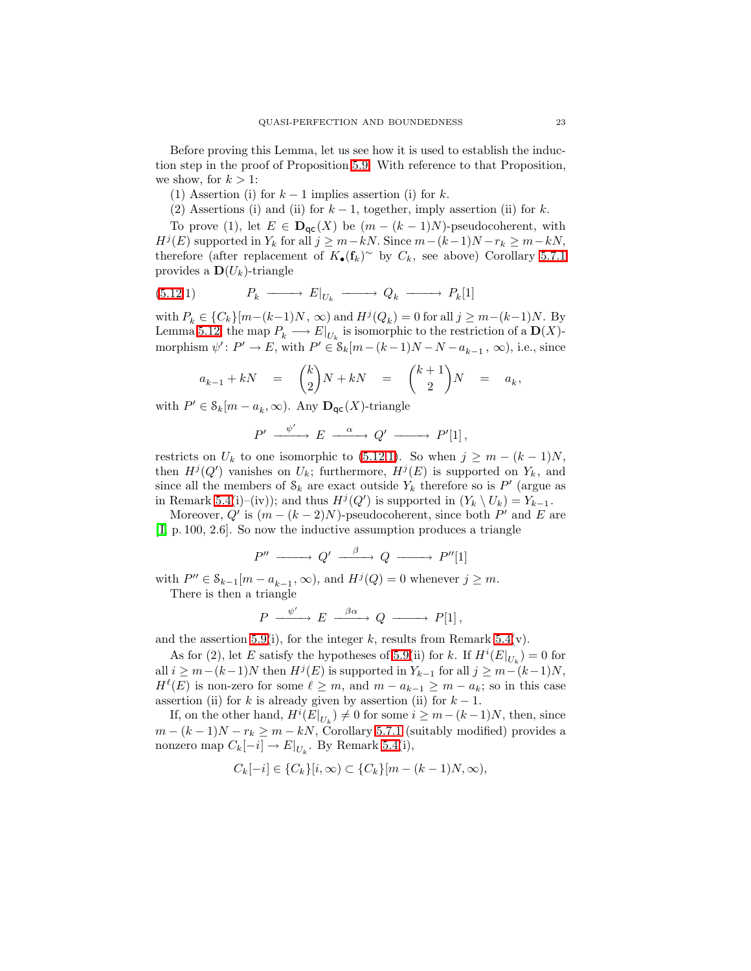Before proving this Lemma, let us see how it is used to establish the induction step in the proof of Proposition [5.9.](#page-19-0) With reference to that Proposition, we show, for  $k > 1$ :

- (1) Assertion (i) for  $k-1$  implies assertion (i) for k.
- (2) Assertions (i) and (ii) for  $k-1$ , together, imply assertion (ii) for k.

To prove (1), let  $E \in \mathbf{D}_{\text{qc}}(X)$  be  $(m - (k-1)N)$ -pseudocoherent, with  $H^j(E)$  supported in  $Y_k$  for all  $j \geq m-kN$ . Since  $m-(k-1)N-r_k \geq m-kN$ , therefore (after replacement of  $K_{\bullet}(\mathbf{f}_k)^{\sim}$  by  $C_k$ , see above) Corollary [5.7.1](#page-17-1) provides a  $\mathbf{D}(U_k)$ -triangle

$$
(5.12.1) \t P_k \longrightarrow E|_{U_k} \longrightarrow Q_k \longrightarrow P_k[1]
$$

with  $P_k \in \{C_k\}[m-(k-1)N, \infty)$  and  $H^j(Q_k) = 0$  for all  $j \geq m-(k-1)N$ . By Lemma [5.12,](#page-21-0) the map  $P_k \longrightarrow E|_{U_k}$  is isomorphic to the restriction of a  $\mathbf{D}(X)$ morphism  $\psi' : P' \to E$ , with  $P' \in \mathcal{S}_k[m-(k-1)N-N-a_{k-1}, \infty)$ , i.e., since

$$
a_{k-1} + kN = {k \choose 2}N + kN = {k+1 \choose 2}N = a_k,
$$

with  $P' \in \mathcal{S}_k[m - a_k, \infty)$ . Any  $\mathbf{D}_{\mathsf{qc}}(X)$ -triangle

<span id="page-22-0"></span>
$$
P' \xrightarrow{\psi'} E \xrightarrow{\alpha} Q' \xrightarrow{\qquad} P'[1],
$$

restricts on  $U_k$  to one isomorphic to [\(5.12](#page-21-0)[.1\)](#page-22-0). So when  $j \geq m - (k-1)N$ , then  $H^{j}(Q')$  vanishes on  $U_k$ ; furthermore,  $H^{j}(E)$  is supported on  $Y_k$ , and since all the members of  $\mathcal{S}_k$  are exact outside  $Y_k$  therefore so is  $P'$  (argue as in Remark [5.4\(](#page-14-1)i)–(iv)); and thus  $H^{j}(Q')$  is supported in  $(Y_k \setminus U_k) = Y_{k-1}$ .

Moreover,  $Q'$  is  $(m - (k-2)N)$ -pseudocoherent, since both  $P'$  and E are [\[ I,](#page-26-7) p. 100, 2.6]. So now the inductive assumption produces a triangle

$$
P'' \longrightarrow Q' \longrightarrow Q \longrightarrow P''[1]
$$

with  $P'' \in \mathcal{S}_{k-1}[m - a_{k-1}, \infty)$ , and  $H^{j}(Q) = 0$  whenever  $j \geq m$ .

There is then a triangle

$$
P \xrightarrow{\psi'} E \xrightarrow{\beta\alpha} Q \xrightarrow{\qquad} P[1],
$$

and the assertion [5.9\(](#page-19-0)i), for the integer k, results from Remark [5.4\(](#page-14-1)v).

As for (2), let E satisfy the hypotheses of [5.9\(](#page-19-0)ii) for k. If  $H^i(E|_{U_k}) = 0$  for all  $i \geq m-(k-1)N$  then  $H^{j}(E)$  is supported in  $Y_{k-1}$  for all  $j \geq m-(k-1)N$ ,  $H^{\ell}(E)$  is non-zero for some  $\ell \geq m$ , and  $m - a_{k-1} \geq m - a_k$ ; so in this case assertion (ii) for k is already given by assertion (ii) for  $k - 1$ .

If, on the other hand,  $H^{i}(E|_{U_{k}}) \neq 0$  for some  $i \geq m-(k-1)N$ , then, since  $m - (k-1)N - r_k \ge m - kN$ , Corollary [5.7.1](#page-17-1) (suitably modified) provides a nonzero map  $C_k[-i] \to E|_{U_k}$ . By Remark [5.4\(](#page-14-1)i),

$$
C_k[-i] \in \{C_k\}[i,\infty) \subset \{C_k\}[m-(k-1)N,\infty),
$$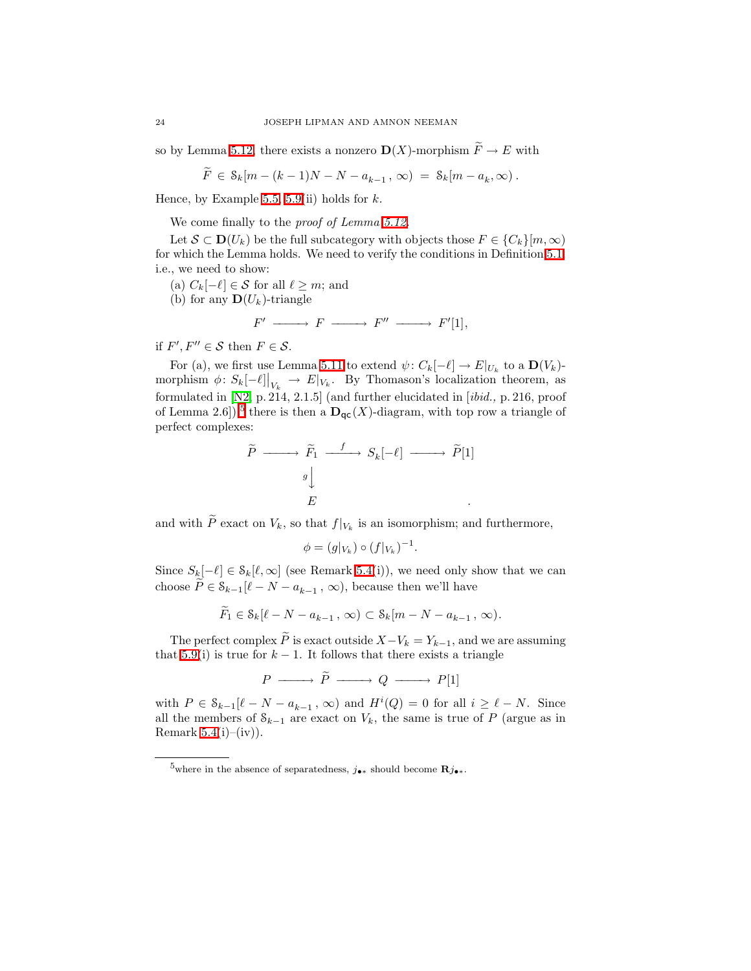so by Lemma [5.12,](#page-21-0) there exists a nonzero  $\mathbf{D}(X)$ -morphism  $\widetilde{F} \to E$  with

$$
\widetilde{F} \in \mathcal{S}_k[m - (k-1)N - N - a_{k-1}, \infty) = \mathcal{S}_k[m - a_k, \infty).
$$

Hence, by Example [5.5,](#page-15-1) [5.9\(](#page-19-0)ii) holds for  $k$ .

We come finally to the *proof of Lemma 5.12*.

Let  $S \subset \mathbf{D}(U_k)$  be the full subcategory with objects those  $F \in \{C_k\}[m, \infty)$ for which the Lemma holds. We need to verify the conditions in Definition [5.1,](#page-14-0) i.e., we need to show:

- (a)  $C_k[-\ell] \in \mathcal{S}$  for all  $\ell \geq m$ ; and
- (b) for any  $\mathbf{D}(U_k)$ -triangle

$$
F' \xrightarrow{\hspace{2cm}} F \xrightarrow{\hspace{2cm}} F'' \xrightarrow{\hspace{2cm}} F'[1],
$$

if  $F', F'' \in \mathcal{S}$  then  $F \in \mathcal{S}$ .

For (a), we first use Lemma [5.11](#page-21-1) to extend  $\psi: C_k[-\ell] \to E|_{U_k}$  to a  $\mathbf{D}(V_k)$ morphism  $\phi: S_k[-\ell]|_{V_k} \to E|_{V_k}$ . By Thomason's localization theorem, as formulated in [\[N2,](#page-26-12) p. 214, 2.1.5] (and further elucidated in [ibid., p. 216, proof of Lemma 2.6]),<sup>[5](#page-23-0)</sup> there is then a  $\mathbf{D}_{\mathsf{qc}}(X)$ -diagram, with top row a triangle of perfect complexes:

$$
\widetilde{P} \longrightarrow \widetilde{F}_1 \xrightarrow{f} S_k[-\ell] \longrightarrow \widetilde{P}[1]
$$
\n
$$
\downarrow g
$$
\n
$$
E
$$

and with P exact on  $V_k$ , so that  $f|_{V_k}$  is an isomorphism; and furthermore,

$$
\phi = (g|_{V_k}) \circ (f|_{V_k})^{-1}.
$$

Since  $S_k[-\ell] \in \mathcal{S}_k[\ell,\infty]$  (see Remark [5.4\(](#page-14-1)i)), we need only show that we can choose  $\widetilde{P} \in \mathcal{S}_{k-1}[\ell - N - a_{k-1}, \infty)$ , because then we'll have

$$
\widetilde{F}_1 \in \mathcal{S}_k[\ell - N - a_{k-1}, \infty) \subset \mathcal{S}_k[m - N - a_{k-1}, \infty).
$$

The perfect complex  $\widetilde{P}$  is exact outside  $X-V_k = Y_{k-1}$ , and we are assuming that [5.9\(](#page-19-0)i) is true for  $k - 1$ . It follows that there exists a triangle

$$
P \longrightarrow \widetilde{P} \longrightarrow Q \longrightarrow P[1]
$$

with  $P \in \mathcal{S}_{k-1}[\ell - N - a_{k-1}, \infty)$  and  $H^{i}(Q) = 0$  for all  $i \geq \ell - N$ . Since all the members of  $\mathcal{S}_{k-1}$  are exact on  $V_k$ , the same is true of P (argue as in Remark  $5.4(i)$ –(iv)).

<span id="page-23-0"></span><sup>&</sup>lt;sup>5</sup>where in the absence of separatedness,  $j_{\bullet *}$  should become  $\mathbf{R}j_{\bullet *}$ .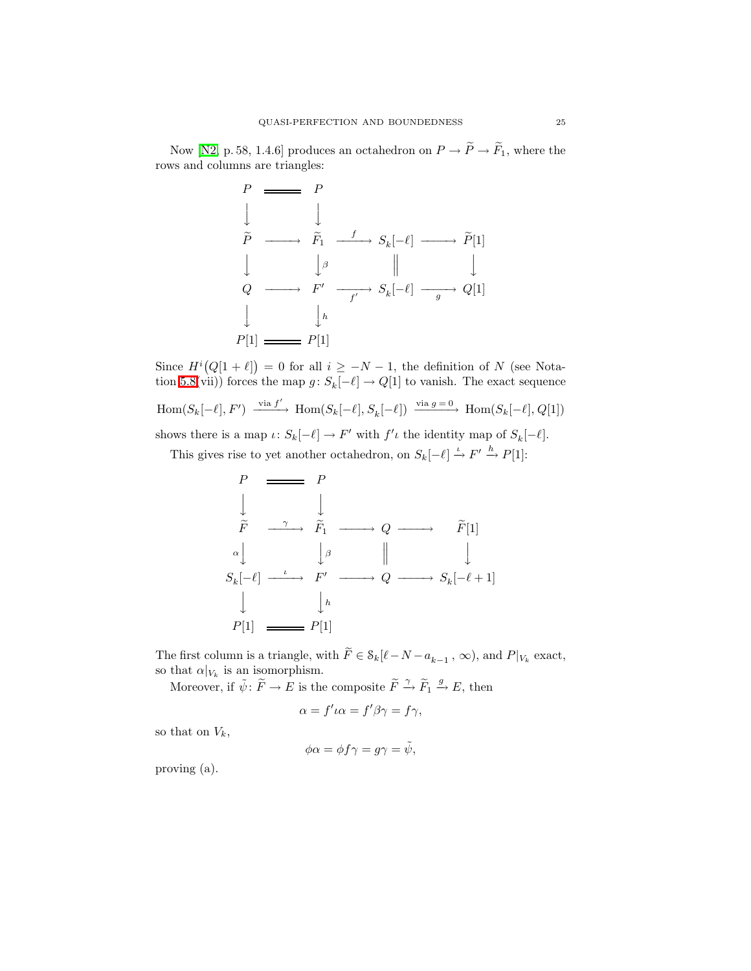Now [\[N2,](#page-26-12) p. 58, 1.4.6] produces an octahedron on  $P \to \widetilde{P} \to \widetilde{F}_1$ , where the rows and columns are triangles:

$$
P \longrightarrow P
$$
\n
$$
\downarrow \qquad \downarrow
$$
\n
$$
\tilde{P} \longrightarrow \tilde{F}_1 \longrightarrow S_k[-\ell] \longrightarrow \tilde{P}[1]
$$
\n
$$
\downarrow \qquad \downarrow \beta \qquad \parallel \qquad \downarrow
$$
\n
$$
Q \longrightarrow F' \longrightarrow S_k[-\ell] \longrightarrow Q[1]
$$
\n
$$
\downarrow \qquad \downarrow h
$$
\n
$$
P[1] \longrightarrow P[1]
$$

Since  $H^{i}(Q[1 + \ell]) = 0$  for all  $i \geq -N-1$ , the definition of N (see Nota-tion [5.8\(](#page-18-0)vii)) forces the map  $g: S_k[-\ell] \to Q[1]$  to vanish. The exact sequence  $\text{Hom}(S_k[-\ell], F') \xrightarrow{\text{via } f'} \text{Hom}(S_k[-\ell], S_k[-\ell]) \xrightarrow{\text{via } g=0} \text{Hom}(S_k[-\ell], Q[1])$ shows there is a map  $\iota: S_k[-\ell] \to F'$  with  $f'\iota$  the identity map of  $S_k[-\ell]$ .

This gives rise to yet another octahedron, on  $S_k[-\ell] \stackrel{\iota}{\rightarrow} F' \stackrel{h}{\rightarrow} P[1]$ :

$$
\begin{array}{ccc}\nP & \longrightarrow & P \\
\downarrow & & \downarrow \\
\widetilde{F} & \xrightarrow{\gamma} & \widetilde{F}_1 \longrightarrow Q \longrightarrow & \widetilde{F}[1] \\
\downarrow^{\alpha} & & \downarrow^{\beta} & \parallel & \downarrow \\
S_k[-\ell] & \xrightarrow{\iota} & F' \longrightarrow Q \longrightarrow S_k[-\ell+1] \\
\downarrow & & \downarrow^h \\
P[1] & \longrightarrow P[1]\n\end{array}
$$

The first column is a triangle, with  $\widetilde{F} \in \mathcal{S}_k[\ell - N - a_{k-1}, \infty)$ , and  $P|_{V_k}$  exact, so that  $\alpha|_{V_k}$  is an isomorphism.

Moreover, if  $\tilde{\psi} \colon \tilde{F} \to E$  is the composite  $\tilde{F} \stackrel{\gamma}{\to} \tilde{F}_1 \stackrel{g}{\to} E$ , then

$$
\alpha = f'\iota\alpha = f'\beta\gamma = f\gamma,
$$

so that on  $V_k$ ,

$$
\phi \alpha = \phi f \gamma = g \gamma = \tilde{\psi},
$$

proving (a).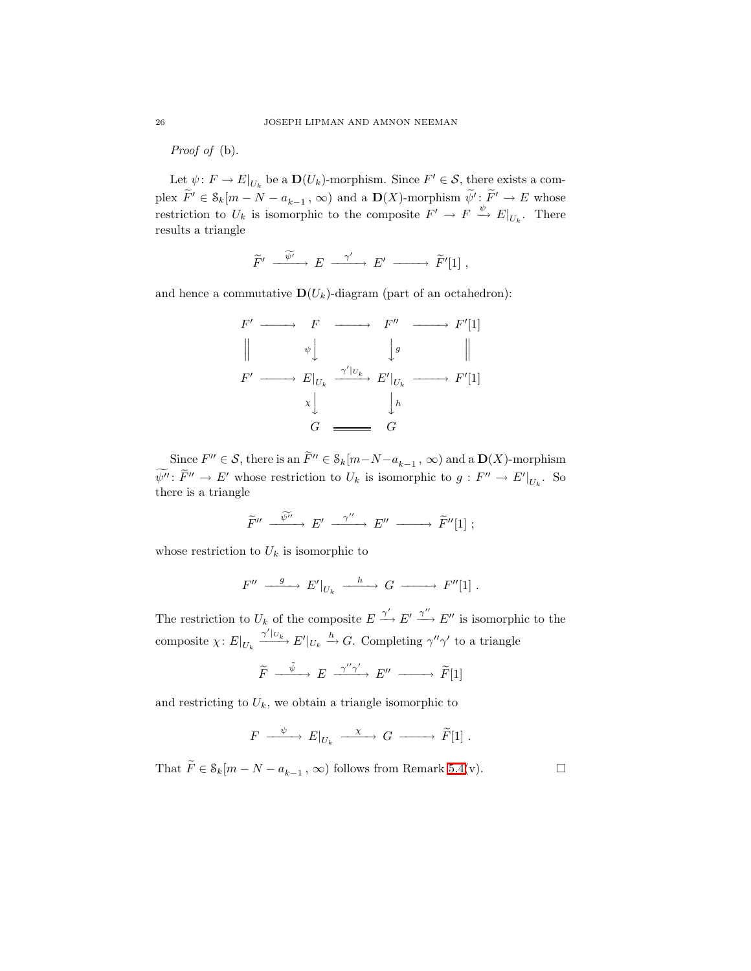Proof of (b).

Let  $\psi: F \to E|_{U_k}$  be a  $\mathbf{D}(U_k)$ -morphism. Since  $F' \in \mathcal{S}$ , there exists a complex  $\widetilde{F}' \in \mathcal{S}_k[m-N-a_{k-1}, \infty)$  and a  $\mathbf{D}(X)$ -morphism  $\widetilde{\psi}': \widetilde{F}' \to E$  whose restriction to  $U_k$  is isomorphic to the composite  $F' \to F \xrightarrow{\psi} E|_{U_k}$ . There results a triangle

$$
\widetilde{F}' \xrightarrow{\widetilde{\psi}'} E \xrightarrow{\gamma'} E' \longrightarrow \widetilde{F}'[1],
$$

and hence a commutative  $\mathbf{D}(U_k)$ -diagram (part of an octahedron):

$$
F' \longrightarrow F \longrightarrow F'' \longrightarrow F'[1]
$$
\n
$$
\parallel \qquad \psi \downarrow \qquad \qquad \downarrow g \qquad \qquad \parallel
$$
\n
$$
F' \longrightarrow E|_{U_k} \xrightarrow{\gamma'|_{U_k}} E'|_{U_k} \longrightarrow F'[1]
$$
\n
$$
\times \downarrow \qquad \qquad \downarrow h
$$
\n
$$
G \longrightarrow G
$$

Since  $F'' \in S$ , there is an  $\widetilde{F}'' \in \mathcal{S}_k[m-N-a_{k-1}, \infty)$  and a  $\mathbf{D}(X)$ -morphism  $\psi'' : F'' \to E'$  whose restriction to  $U_k$  is isomorphic to  $g : F'' \to E'|_{U_k}$ . So there is a triangle

$$
\widetilde{F}''\ \xrightarrow{\ \widetilde{\psi''}\ \ }E'\ \xrightarrow{\ \ \gamma''\ \ }E''\ \xrightarrow{\ \ \widetilde{F}''[1]\ ;
$$

whose restriction to  $U_k$  is isomorphic to

$$
F'' \xrightarrow{g} E'|_{U_k} \xrightarrow{h} G \xrightarrow{V''[1]}.
$$

The restriction to  $U_k$  of the composite  $E \xrightarrow{\gamma'} E' \xrightarrow{\gamma''} E''$  is isomorphic to the composite  $\chi: E|_{U_k} \xrightarrow{\gamma'|_{U_k}} E'|_{U_k} \xrightarrow{h} G$ . Completing  $\gamma''\gamma'$  to a triangle

$$
\widetilde{F} \xrightarrow{\tilde{\psi}} E \xrightarrow{\gamma''\gamma'} E'' \longrightarrow \widetilde{F}[1]
$$

and restricting to  $U_k$ , we obtain a triangle isomorphic to

$$
F \xrightarrow{\psi} E|_{U_k} \xrightarrow{\chi} G \xrightarrow{\qquad} \widetilde{F}[1] .
$$

That  $\widetilde{F} \in \mathcal{S}_k[m - N - a_{k-1}, \infty)$  follows from Remark [5.4\(](#page-14-1)v).